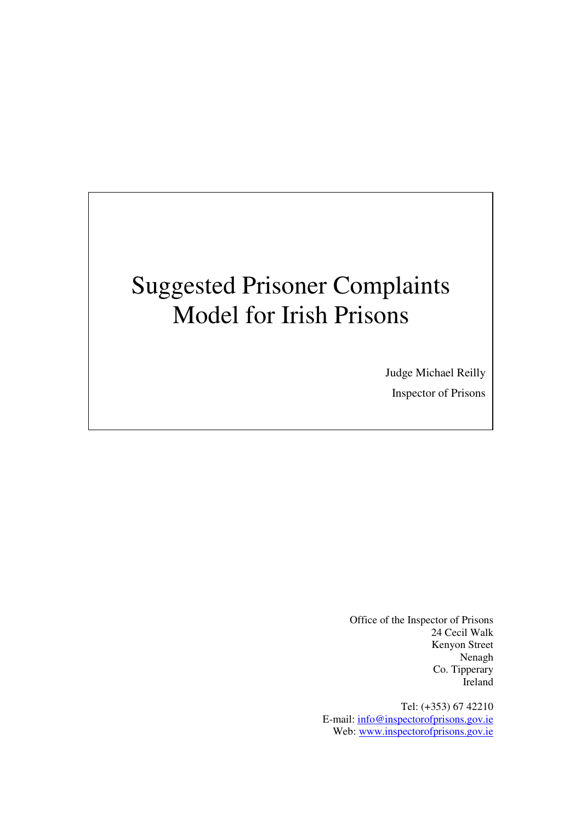# Suggested Prisoner Complaints Model for Irish Prisons

Judge Michael Reilly Inspector of Prisons

Office of the Inspector of Prisons 24 Cecil Walk Kenyon Street Nenagh Co. Tipperary Ireland

Tel: (+353) 67 42210 E-mail: info@inspectorofprisons.gov.ie Web: www.inspectorofprisons.gov.ie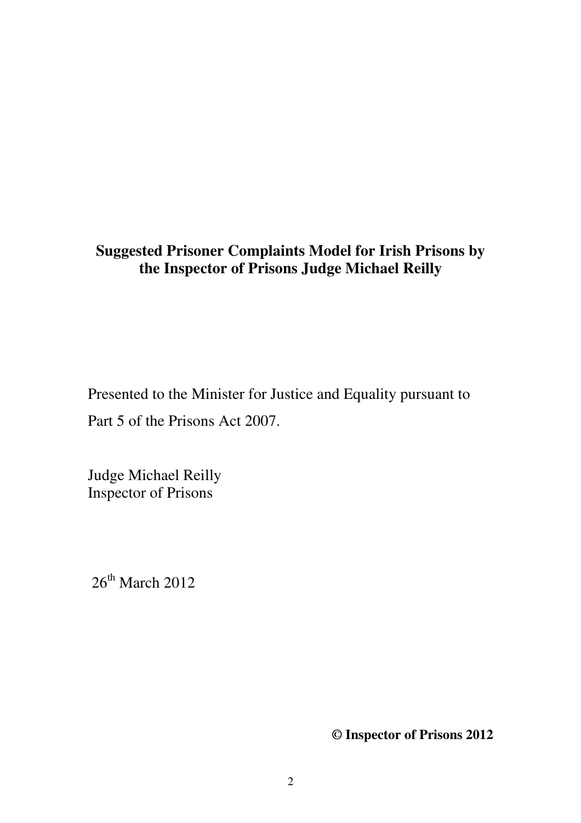# **Suggested Prisoner Complaints Model for Irish Prisons by the Inspector of Prisons Judge Michael Reilly**

Presented to the Minister for Justice and Equality pursuant to Part 5 of the Prisons Act 2007.

Judge Michael Reilly Inspector of Prisons

 $26<sup>th</sup>$  March 2012

**© Inspector of Prisons 2012**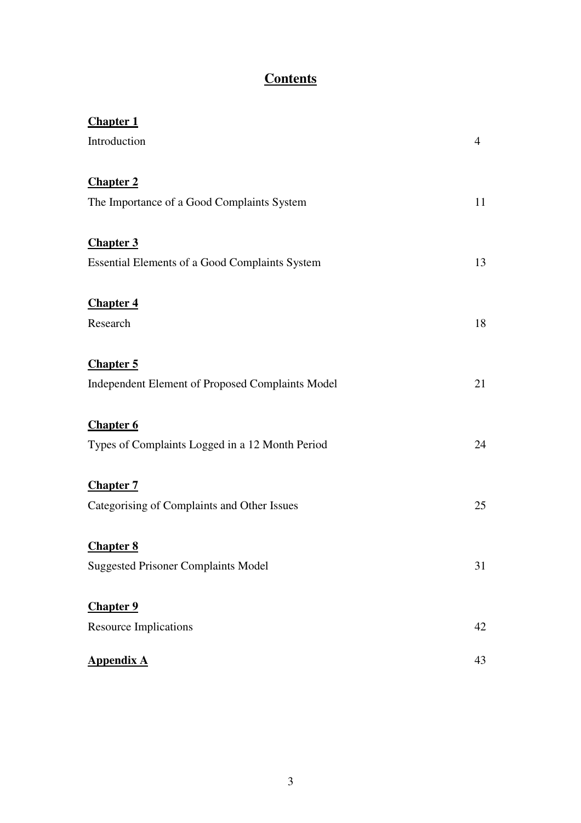# **Contents**

| <b>Chapter 1</b>                                 |    |
|--------------------------------------------------|----|
| Introduction                                     | 4  |
| <b>Chapter 2</b>                                 |    |
| The Importance of a Good Complaints System       | 11 |
| <b>Chapter 3</b>                                 |    |
| Essential Elements of a Good Complaints System   | 13 |
| <b>Chapter 4</b>                                 |    |
| Research                                         | 18 |
| <b>Chapter 5</b>                                 |    |
| Independent Element of Proposed Complaints Model | 21 |
| <b>Chapter 6</b>                                 |    |
| Types of Complaints Logged in a 12 Month Period  | 24 |
| <b>Chapter 7</b>                                 |    |
| Categorising of Complaints and Other Issues      | 25 |
| <b>Chapter 8</b>                                 |    |
| <b>Suggested Prisoner Complaints Model</b>       | 31 |
| <b>Chapter 9</b>                                 |    |
| <b>Resource Implications</b>                     | 42 |
| <b>Appendix A</b>                                | 43 |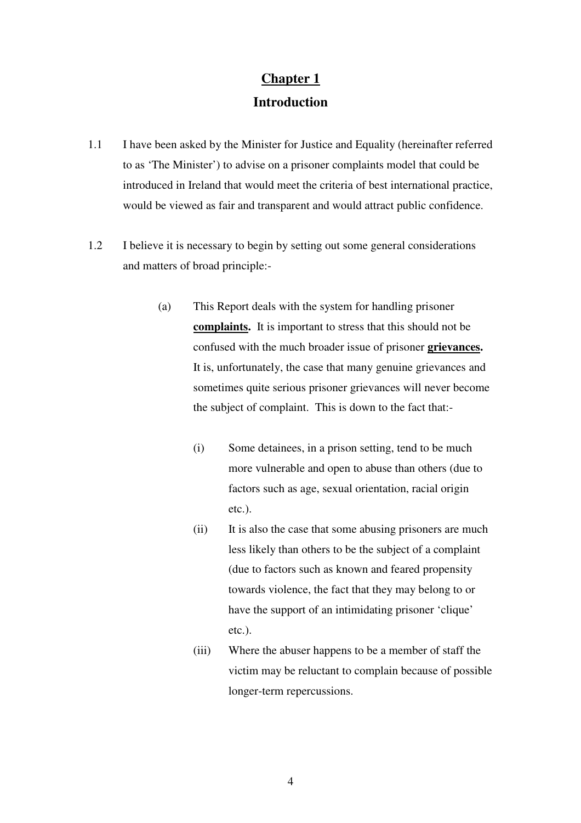# **Introduction**

- 1.1 I have been asked by the Minister for Justice and Equality (hereinafter referred to as 'The Minister') to advise on a prisoner complaints model that could be introduced in Ireland that would meet the criteria of best international practice, would be viewed as fair and transparent and would attract public confidence.
- 1.2 I believe it is necessary to begin by setting out some general considerations and matters of broad principle:-
	- (a) This Report deals with the system for handling prisoner **complaints.** It is important to stress that this should not be confused with the much broader issue of prisoner **grievances.** It is, unfortunately, the case that many genuine grievances and sometimes quite serious prisoner grievances will never become the subject of complaint. This is down to the fact that:-
		- (i) Some detainees, in a prison setting, tend to be much more vulnerable and open to abuse than others (due to factors such as age, sexual orientation, racial origin etc.).
		- (ii) It is also the case that some abusing prisoners are much less likely than others to be the subject of a complaint (due to factors such as known and feared propensity towards violence, the fact that they may belong to or have the support of an intimidating prisoner 'clique' etc.).
		- (iii) Where the abuser happens to be a member of staff the victim may be reluctant to complain because of possible longer-term repercussions.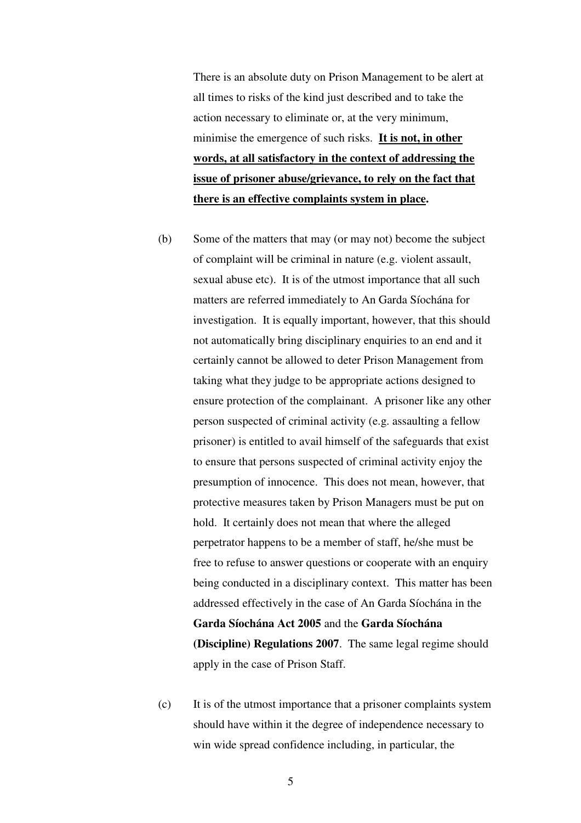There is an absolute duty on Prison Management to be alert at all times to risks of the kind just described and to take the action necessary to eliminate or, at the very minimum, minimise the emergence of such risks. **It is not, in other words, at all satisfactory in the context of addressing the issue of prisoner abuse/grievance, to rely on the fact that there is an effective complaints system in place.** 

- (b) Some of the matters that may (or may not) become the subject of complaint will be criminal in nature (e.g. violent assault, sexual abuse etc). It is of the utmost importance that all such matters are referred immediately to An Garda Síochána for investigation. It is equally important, however, that this should not automatically bring disciplinary enquiries to an end and it certainly cannot be allowed to deter Prison Management from taking what they judge to be appropriate actions designed to ensure protection of the complainant. A prisoner like any other person suspected of criminal activity (e.g. assaulting a fellow prisoner) is entitled to avail himself of the safeguards that exist to ensure that persons suspected of criminal activity enjoy the presumption of innocence. This does not mean, however, that protective measures taken by Prison Managers must be put on hold. It certainly does not mean that where the alleged perpetrator happens to be a member of staff, he/she must be free to refuse to answer questions or cooperate with an enquiry being conducted in a disciplinary context. This matter has been addressed effectively in the case of An Garda Síochána in the **Garda Síochána Act 2005** and the **Garda Síochána (Discipline) Regulations 2007**. The same legal regime should apply in the case of Prison Staff.
- (c) It is of the utmost importance that a prisoner complaints system should have within it the degree of independence necessary to win wide spread confidence including, in particular, the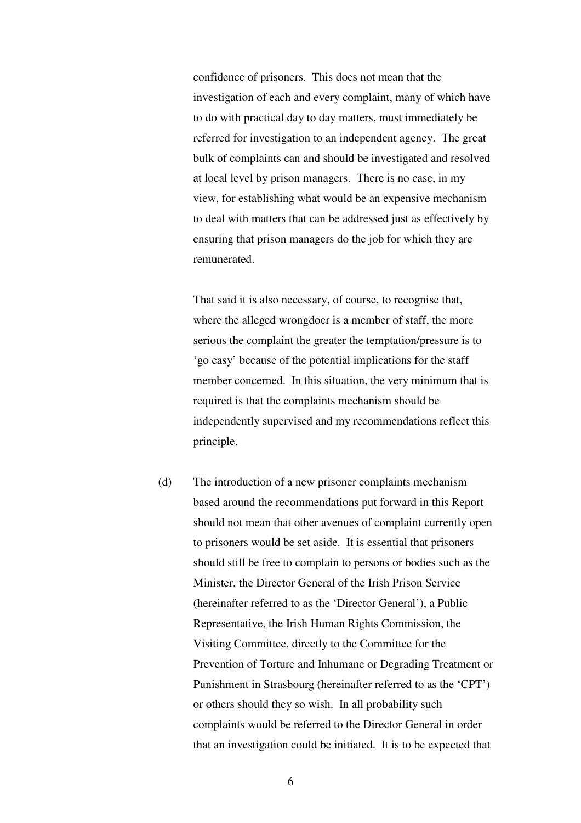confidence of prisoners. This does not mean that the investigation of each and every complaint, many of which have to do with practical day to day matters, must immediately be referred for investigation to an independent agency. The great bulk of complaints can and should be investigated and resolved at local level by prison managers. There is no case, in my view, for establishing what would be an expensive mechanism to deal with matters that can be addressed just as effectively by ensuring that prison managers do the job for which they are remunerated.

That said it is also necessary, of course, to recognise that, where the alleged wrongdoer is a member of staff, the more serious the complaint the greater the temptation/pressure is to 'go easy' because of the potential implications for the staff member concerned. In this situation, the very minimum that is required is that the complaints mechanism should be independently supervised and my recommendations reflect this principle.

(d) The introduction of a new prisoner complaints mechanism based around the recommendations put forward in this Report should not mean that other avenues of complaint currently open to prisoners would be set aside. It is essential that prisoners should still be free to complain to persons or bodies such as the Minister, the Director General of the Irish Prison Service (hereinafter referred to as the 'Director General'), a Public Representative, the Irish Human Rights Commission, the Visiting Committee, directly to the Committee for the Prevention of Torture and Inhumane or Degrading Treatment or Punishment in Strasbourg (hereinafter referred to as the 'CPT') or others should they so wish. In all probability such complaints would be referred to the Director General in order that an investigation could be initiated. It is to be expected that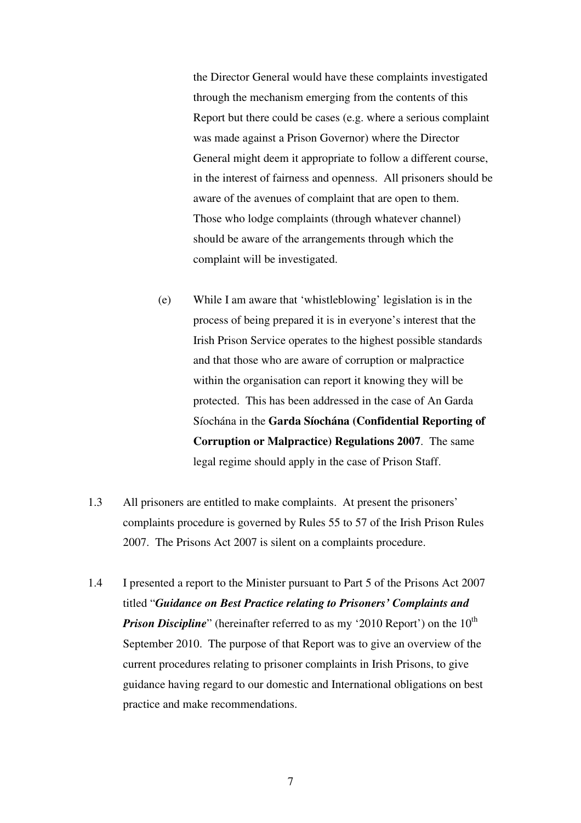the Director General would have these complaints investigated through the mechanism emerging from the contents of this Report but there could be cases (e.g. where a serious complaint was made against a Prison Governor) where the Director General might deem it appropriate to follow a different course, in the interest of fairness and openness. All prisoners should be aware of the avenues of complaint that are open to them. Those who lodge complaints (through whatever channel) should be aware of the arrangements through which the complaint will be investigated.

- (e) While I am aware that 'whistleblowing' legislation is in the process of being prepared it is in everyone's interest that the Irish Prison Service operates to the highest possible standards and that those who are aware of corruption or malpractice within the organisation can report it knowing they will be protected. This has been addressed in the case of An Garda Síochána in the **Garda Síochána (Confidential Reporting of Corruption or Malpractice) Regulations 2007**. The same legal regime should apply in the case of Prison Staff.
- 1.3 All prisoners are entitled to make complaints. At present the prisoners' complaints procedure is governed by Rules 55 to 57 of the Irish Prison Rules 2007. The Prisons Act 2007 is silent on a complaints procedure.
- 1.4 I presented a report to the Minister pursuant to Part 5 of the Prisons Act 2007 titled "*Guidance on Best Practice relating to Prisoners' Complaints and Prison Discipline*" (hereinafter referred to as my '2010 Report') on the 10<sup>th</sup> September 2010. The purpose of that Report was to give an overview of the current procedures relating to prisoner complaints in Irish Prisons, to give guidance having regard to our domestic and International obligations on best practice and make recommendations.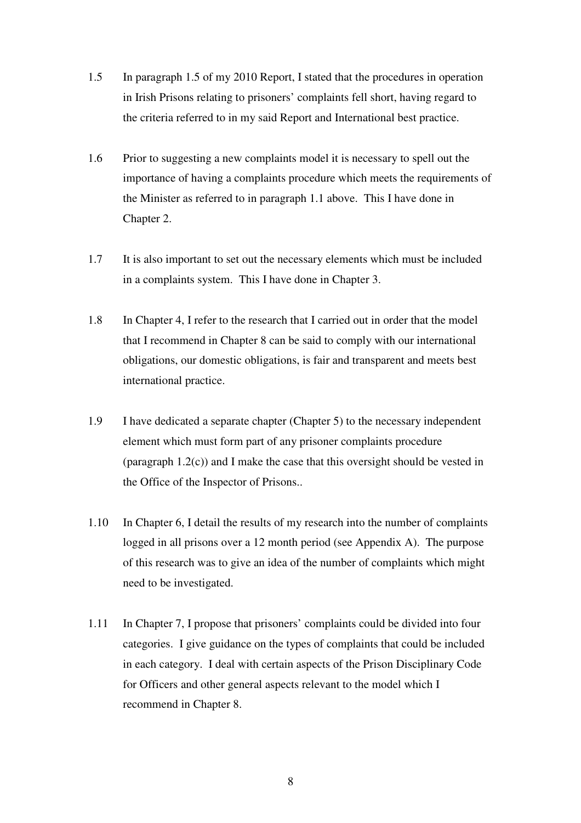- 1.5 In paragraph 1.5 of my 2010 Report, I stated that the procedures in operation in Irish Prisons relating to prisoners' complaints fell short, having regard to the criteria referred to in my said Report and International best practice.
- 1.6 Prior to suggesting a new complaints model it is necessary to spell out the importance of having a complaints procedure which meets the requirements of the Minister as referred to in paragraph 1.1 above. This I have done in Chapter 2.
- 1.7 It is also important to set out the necessary elements which must be included in a complaints system. This I have done in Chapter 3.
- 1.8 In Chapter 4, I refer to the research that I carried out in order that the model that I recommend in Chapter 8 can be said to comply with our international obligations, our domestic obligations, is fair and transparent and meets best international practice.
- 1.9 I have dedicated a separate chapter (Chapter 5) to the necessary independent element which must form part of any prisoner complaints procedure (paragraph 1.2(c)) and I make the case that this oversight should be vested in the Office of the Inspector of Prisons..
- 1.10 In Chapter 6, I detail the results of my research into the number of complaints logged in all prisons over a 12 month period (see Appendix A). The purpose of this research was to give an idea of the number of complaints which might need to be investigated.
- 1.11 In Chapter 7, I propose that prisoners' complaints could be divided into four categories. I give guidance on the types of complaints that could be included in each category. I deal with certain aspects of the Prison Disciplinary Code for Officers and other general aspects relevant to the model which I recommend in Chapter 8.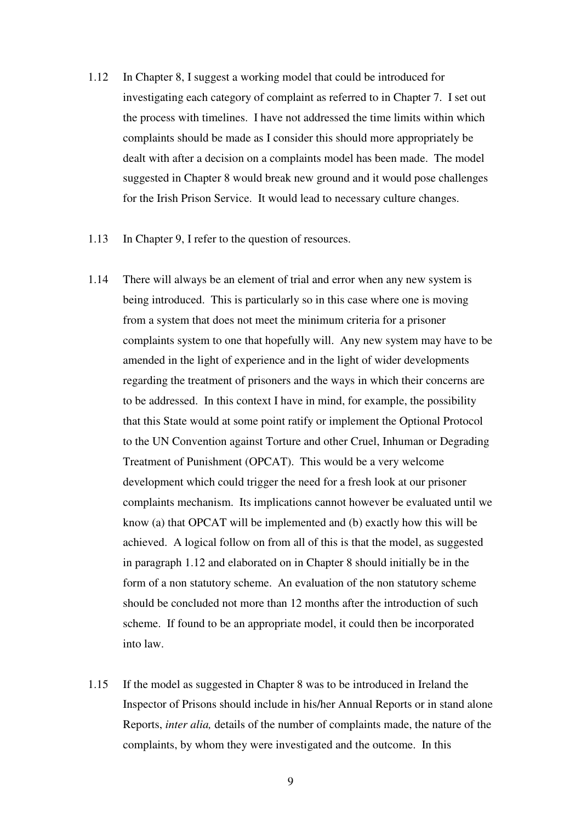- 1.12 In Chapter 8, I suggest a working model that could be introduced for investigating each category of complaint as referred to in Chapter 7. I set out the process with timelines. I have not addressed the time limits within which complaints should be made as I consider this should more appropriately be dealt with after a decision on a complaints model has been made. The model suggested in Chapter 8 would break new ground and it would pose challenges for the Irish Prison Service. It would lead to necessary culture changes.
- 1.13 In Chapter 9, I refer to the question of resources.
- 1.14 There will always be an element of trial and error when any new system is being introduced. This is particularly so in this case where one is moving from a system that does not meet the minimum criteria for a prisoner complaints system to one that hopefully will. Any new system may have to be amended in the light of experience and in the light of wider developments regarding the treatment of prisoners and the ways in which their concerns are to be addressed. In this context I have in mind, for example, the possibility that this State would at some point ratify or implement the Optional Protocol to the UN Convention against Torture and other Cruel, Inhuman or Degrading Treatment of Punishment (OPCAT). This would be a very welcome development which could trigger the need for a fresh look at our prisoner complaints mechanism. Its implications cannot however be evaluated until we know (a) that OPCAT will be implemented and (b) exactly how this will be achieved. A logical follow on from all of this is that the model, as suggested in paragraph 1.12 and elaborated on in Chapter 8 should initially be in the form of a non statutory scheme. An evaluation of the non statutory scheme should be concluded not more than 12 months after the introduction of such scheme. If found to be an appropriate model, it could then be incorporated into law.
- 1.15 If the model as suggested in Chapter 8 was to be introduced in Ireland the Inspector of Prisons should include in his/her Annual Reports or in stand alone Reports, *inter alia,* details of the number of complaints made, the nature of the complaints, by whom they were investigated and the outcome. In this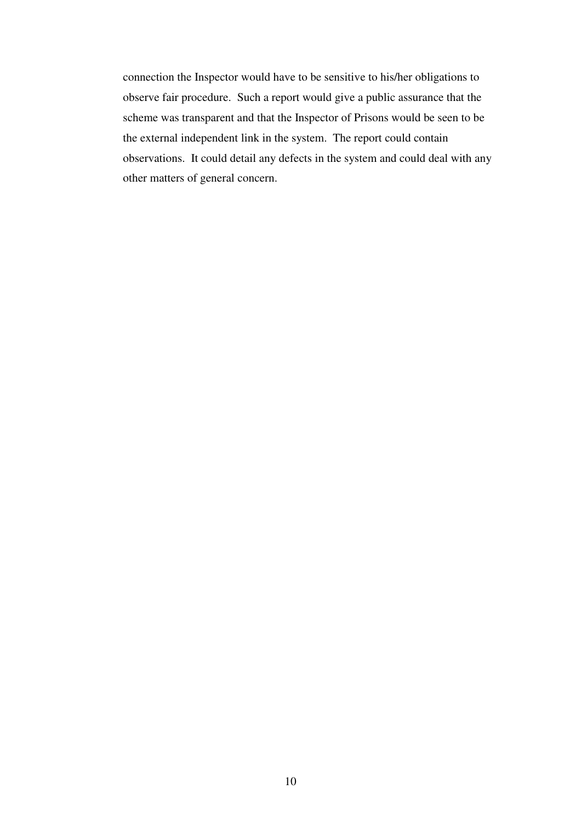connection the Inspector would have to be sensitive to his/her obligations to observe fair procedure. Such a report would give a public assurance that the scheme was transparent and that the Inspector of Prisons would be seen to be the external independent link in the system. The report could contain observations. It could detail any defects in the system and could deal with any other matters of general concern.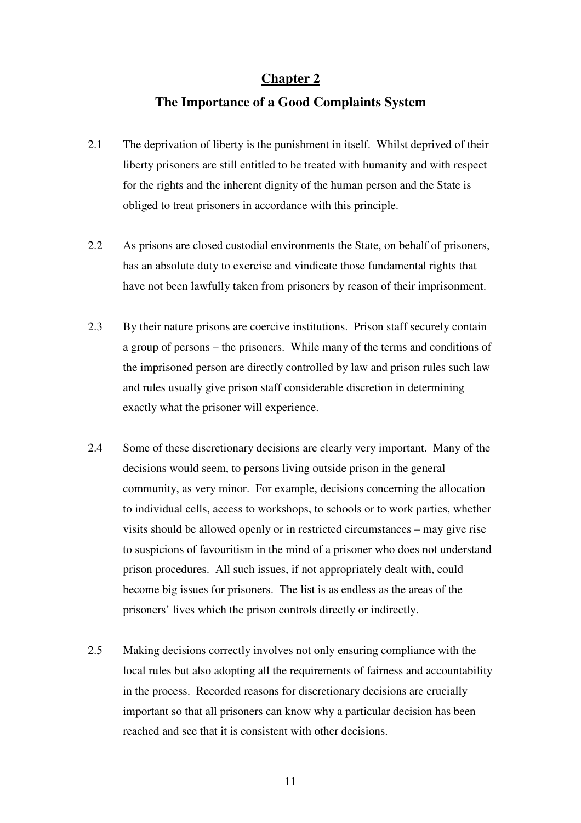# **The Importance of a Good Complaints System**

- 2.1 The deprivation of liberty is the punishment in itself. Whilst deprived of their liberty prisoners are still entitled to be treated with humanity and with respect for the rights and the inherent dignity of the human person and the State is obliged to treat prisoners in accordance with this principle.
- 2.2 As prisons are closed custodial environments the State, on behalf of prisoners, has an absolute duty to exercise and vindicate those fundamental rights that have not been lawfully taken from prisoners by reason of their imprisonment.
- 2.3 By their nature prisons are coercive institutions. Prison staff securely contain a group of persons – the prisoners. While many of the terms and conditions of the imprisoned person are directly controlled by law and prison rules such law and rules usually give prison staff considerable discretion in determining exactly what the prisoner will experience.
- 2.4 Some of these discretionary decisions are clearly very important. Many of the decisions would seem, to persons living outside prison in the general community, as very minor. For example, decisions concerning the allocation to individual cells, access to workshops, to schools or to work parties, whether visits should be allowed openly or in restricted circumstances – may give rise to suspicions of favouritism in the mind of a prisoner who does not understand prison procedures. All such issues, if not appropriately dealt with, could become big issues for prisoners. The list is as endless as the areas of the prisoners' lives which the prison controls directly or indirectly.
- 2.5 Making decisions correctly involves not only ensuring compliance with the local rules but also adopting all the requirements of fairness and accountability in the process. Recorded reasons for discretionary decisions are crucially important so that all prisoners can know why a particular decision has been reached and see that it is consistent with other decisions.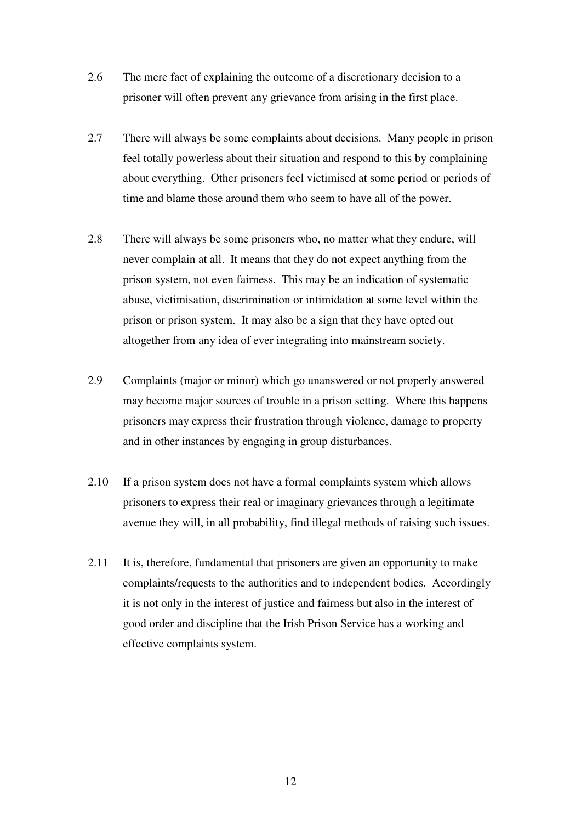- 2.6 The mere fact of explaining the outcome of a discretionary decision to a prisoner will often prevent any grievance from arising in the first place.
- 2.7 There will always be some complaints about decisions. Many people in prison feel totally powerless about their situation and respond to this by complaining about everything. Other prisoners feel victimised at some period or periods of time and blame those around them who seem to have all of the power.
- 2.8 There will always be some prisoners who, no matter what they endure, will never complain at all. It means that they do not expect anything from the prison system, not even fairness. This may be an indication of systematic abuse, victimisation, discrimination or intimidation at some level within the prison or prison system. It may also be a sign that they have opted out altogether from any idea of ever integrating into mainstream society.
- 2.9 Complaints (major or minor) which go unanswered or not properly answered may become major sources of trouble in a prison setting. Where this happens prisoners may express their frustration through violence, damage to property and in other instances by engaging in group disturbances.
- 2.10 If a prison system does not have a formal complaints system which allows prisoners to express their real or imaginary grievances through a legitimate avenue they will, in all probability, find illegal methods of raising such issues.
- 2.11 It is, therefore, fundamental that prisoners are given an opportunity to make complaints/requests to the authorities and to independent bodies. Accordingly it is not only in the interest of justice and fairness but also in the interest of good order and discipline that the Irish Prison Service has a working and effective complaints system.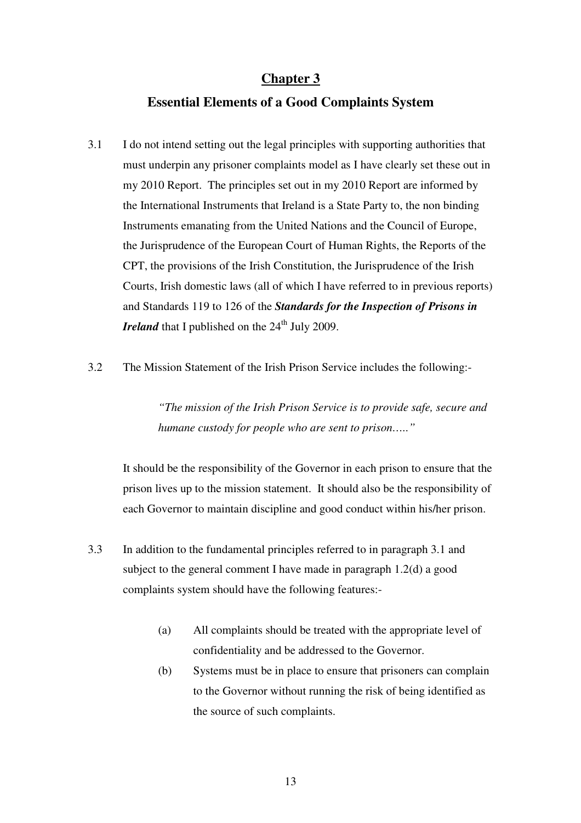## **Essential Elements of a Good Complaints System**

- 3.1 I do not intend setting out the legal principles with supporting authorities that must underpin any prisoner complaints model as I have clearly set these out in my 2010 Report. The principles set out in my 2010 Report are informed by the International Instruments that Ireland is a State Party to, the non binding Instruments emanating from the United Nations and the Council of Europe, the Jurisprudence of the European Court of Human Rights, the Reports of the CPT, the provisions of the Irish Constitution, the Jurisprudence of the Irish Courts, Irish domestic laws (all of which I have referred to in previous reports) and Standards 119 to 126 of the *Standards for the Inspection of Prisons in Ireland* that I published on the  $24<sup>th</sup>$  July 2009.
- 3.2 The Mission Statement of the Irish Prison Service includes the following:-

*"The mission of the Irish Prison Service is to provide safe, secure and humane custody for people who are sent to prison….."* 

It should be the responsibility of the Governor in each prison to ensure that the prison lives up to the mission statement. It should also be the responsibility of each Governor to maintain discipline and good conduct within his/her prison.

- 3.3 In addition to the fundamental principles referred to in paragraph 3.1 and subject to the general comment I have made in paragraph 1.2(d) a good complaints system should have the following features:-
	- (a) All complaints should be treated with the appropriate level of confidentiality and be addressed to the Governor.
	- (b) Systems must be in place to ensure that prisoners can complain to the Governor without running the risk of being identified as the source of such complaints.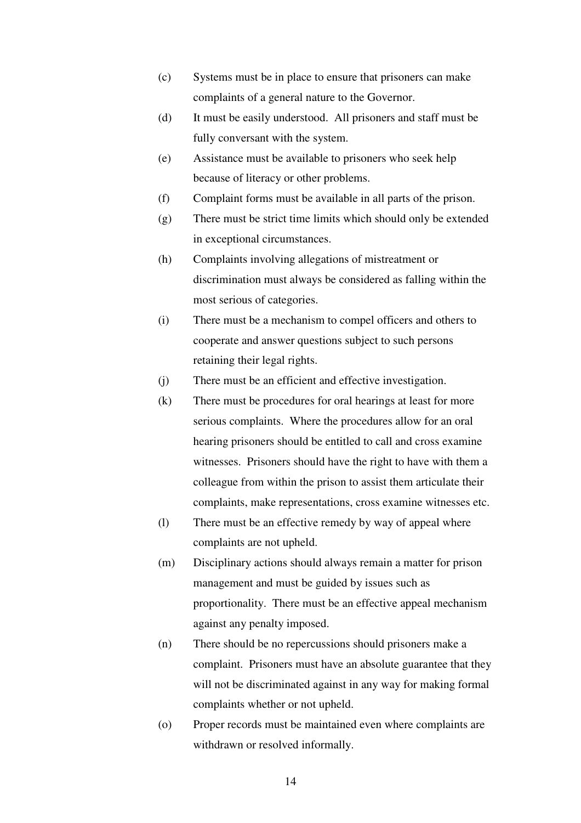- (c) Systems must be in place to ensure that prisoners can make complaints of a general nature to the Governor.
- (d) It must be easily understood. All prisoners and staff must be fully conversant with the system.
- (e) Assistance must be available to prisoners who seek help because of literacy or other problems.
- (f) Complaint forms must be available in all parts of the prison.
- (g) There must be strict time limits which should only be extended in exceptional circumstances.
- (h) Complaints involving allegations of mistreatment or discrimination must always be considered as falling within the most serious of categories.
- (i) There must be a mechanism to compel officers and others to cooperate and answer questions subject to such persons retaining their legal rights.
- (j) There must be an efficient and effective investigation.
- (k) There must be procedures for oral hearings at least for more serious complaints. Where the procedures allow for an oral hearing prisoners should be entitled to call and cross examine witnesses. Prisoners should have the right to have with them a colleague from within the prison to assist them articulate their complaints, make representations, cross examine witnesses etc.
- (l) There must be an effective remedy by way of appeal where complaints are not upheld.
- (m) Disciplinary actions should always remain a matter for prison management and must be guided by issues such as proportionality. There must be an effective appeal mechanism against any penalty imposed.
- (n) There should be no repercussions should prisoners make a complaint. Prisoners must have an absolute guarantee that they will not be discriminated against in any way for making formal complaints whether or not upheld.
- (o) Proper records must be maintained even where complaints are withdrawn or resolved informally.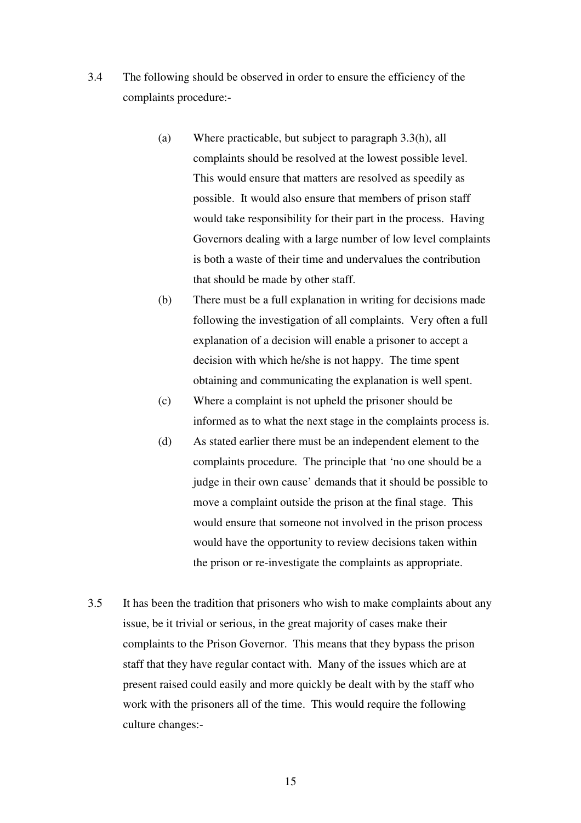- 3.4 The following should be observed in order to ensure the efficiency of the complaints procedure:-
	- (a) Where practicable, but subject to paragraph 3.3(h), all complaints should be resolved at the lowest possible level. This would ensure that matters are resolved as speedily as possible. It would also ensure that members of prison staff would take responsibility for their part in the process. Having Governors dealing with a large number of low level complaints is both a waste of their time and undervalues the contribution that should be made by other staff.
	- (b) There must be a full explanation in writing for decisions made following the investigation of all complaints. Very often a full explanation of a decision will enable a prisoner to accept a decision with which he/she is not happy. The time spent obtaining and communicating the explanation is well spent.
	- (c) Where a complaint is not upheld the prisoner should be informed as to what the next stage in the complaints process is.
	- (d) As stated earlier there must be an independent element to the complaints procedure. The principle that 'no one should be a judge in their own cause' demands that it should be possible to move a complaint outside the prison at the final stage. This would ensure that someone not involved in the prison process would have the opportunity to review decisions taken within the prison or re-investigate the complaints as appropriate.
- 3.5 It has been the tradition that prisoners who wish to make complaints about any issue, be it trivial or serious, in the great majority of cases make their complaints to the Prison Governor. This means that they bypass the prison staff that they have regular contact with. Many of the issues which are at present raised could easily and more quickly be dealt with by the staff who work with the prisoners all of the time. This would require the following culture changes:-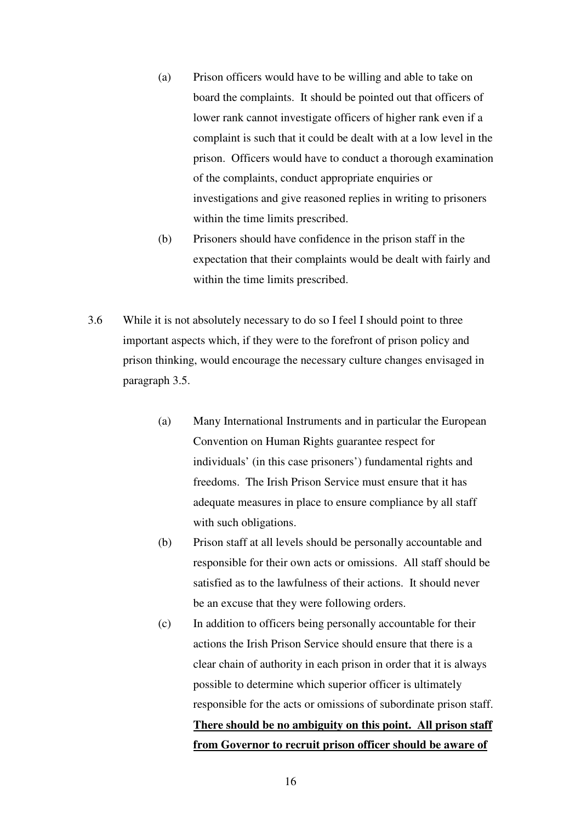- (a) Prison officers would have to be willing and able to take on board the complaints. It should be pointed out that officers of lower rank cannot investigate officers of higher rank even if a complaint is such that it could be dealt with at a low level in the prison. Officers would have to conduct a thorough examination of the complaints, conduct appropriate enquiries or investigations and give reasoned replies in writing to prisoners within the time limits prescribed.
- (b) Prisoners should have confidence in the prison staff in the expectation that their complaints would be dealt with fairly and within the time limits prescribed.
- 3.6 While it is not absolutely necessary to do so I feel I should point to three important aspects which, if they were to the forefront of prison policy and prison thinking, would encourage the necessary culture changes envisaged in paragraph 3.5.
	- (a) Many International Instruments and in particular the European Convention on Human Rights guarantee respect for individuals' (in this case prisoners') fundamental rights and freedoms. The Irish Prison Service must ensure that it has adequate measures in place to ensure compliance by all staff with such obligations.
	- (b) Prison staff at all levels should be personally accountable and responsible for their own acts or omissions. All staff should be satisfied as to the lawfulness of their actions. It should never be an excuse that they were following orders.
	- (c) In addition to officers being personally accountable for their actions the Irish Prison Service should ensure that there is a clear chain of authority in each prison in order that it is always possible to determine which superior officer is ultimately responsible for the acts or omissions of subordinate prison staff. **There should be no ambiguity on this point. All prison staff from Governor to recruit prison officer should be aware of**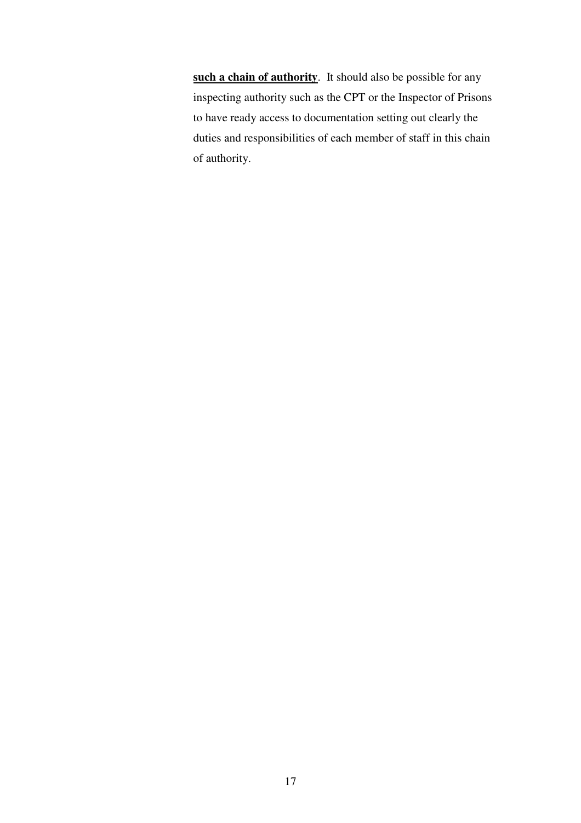**such a chain of authority**. It should also be possible for any inspecting authority such as the CPT or the Inspector of Prisons to have ready access to documentation setting out clearly the duties and responsibilities of each member of staff in this chain of authority.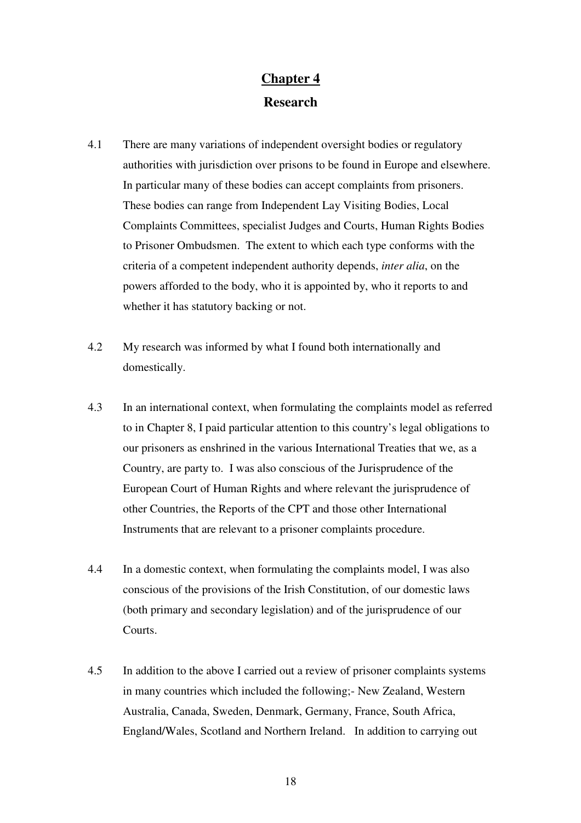# **Chapter 4 Research**

- 4.1 There are many variations of independent oversight bodies or regulatory authorities with jurisdiction over prisons to be found in Europe and elsewhere. In particular many of these bodies can accept complaints from prisoners. These bodies can range from Independent Lay Visiting Bodies, Local Complaints Committees, specialist Judges and Courts, Human Rights Bodies to Prisoner Ombudsmen. The extent to which each type conforms with the criteria of a competent independent authority depends, *inter alia*, on the powers afforded to the body, who it is appointed by, who it reports to and whether it has statutory backing or not.
- 4.2 My research was informed by what I found both internationally and domestically.
- 4.3 In an international context, when formulating the complaints model as referred to in Chapter 8, I paid particular attention to this country's legal obligations to our prisoners as enshrined in the various International Treaties that we, as a Country, are party to. I was also conscious of the Jurisprudence of the European Court of Human Rights and where relevant the jurisprudence of other Countries, the Reports of the CPT and those other International Instruments that are relevant to a prisoner complaints procedure.
- 4.4 In a domestic context, when formulating the complaints model, I was also conscious of the provisions of the Irish Constitution, of our domestic laws (both primary and secondary legislation) and of the jurisprudence of our Courts.
- 4.5 In addition to the above I carried out a review of prisoner complaints systems in many countries which included the following;- New Zealand, Western Australia, Canada, Sweden, Denmark, Germany, France, South Africa, England/Wales, Scotland and Northern Ireland. In addition to carrying out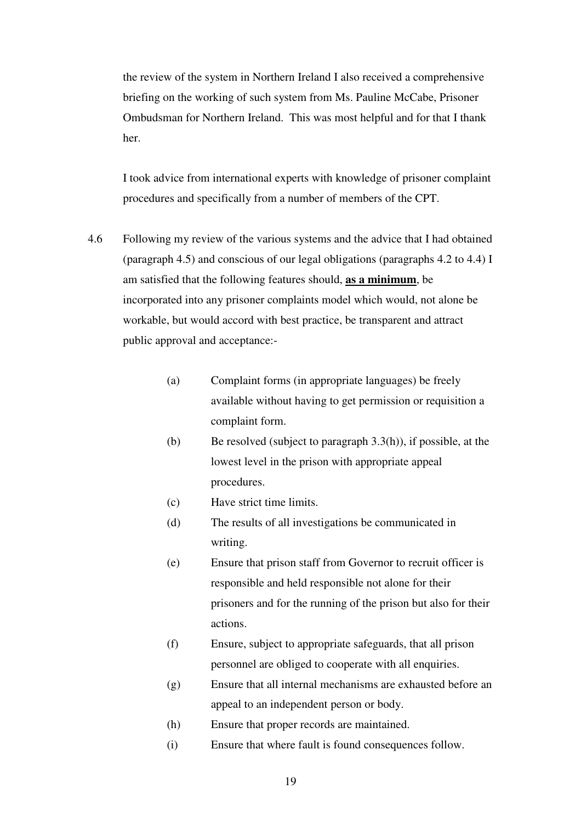the review of the system in Northern Ireland I also received a comprehensive briefing on the working of such system from Ms. Pauline McCabe, Prisoner Ombudsman for Northern Ireland. This was most helpful and for that I thank her.

 I took advice from international experts with knowledge of prisoner complaint procedures and specifically from a number of members of the CPT.

- 4.6 Following my review of the various systems and the advice that I had obtained (paragraph 4.5) and conscious of our legal obligations (paragraphs 4.2 to 4.4) I am satisfied that the following features should, **as a minimum**, be incorporated into any prisoner complaints model which would, not alone be workable, but would accord with best practice, be transparent and attract public approval and acceptance:-
	- (a) Complaint forms (in appropriate languages) be freely available without having to get permission or requisition a complaint form.
	- (b) Be resolved (subject to paragraph 3.3(h)), if possible, at the lowest level in the prison with appropriate appeal procedures.
	- (c) Have strict time limits.
	- (d) The results of all investigations be communicated in writing.
	- (e) Ensure that prison staff from Governor to recruit officer is responsible and held responsible not alone for their prisoners and for the running of the prison but also for their actions.
	- (f) Ensure, subject to appropriate safeguards, that all prison personnel are obliged to cooperate with all enquiries.
	- (g) Ensure that all internal mechanisms are exhausted before an appeal to an independent person or body.
	- (h) Ensure that proper records are maintained.
	- (i) Ensure that where fault is found consequences follow.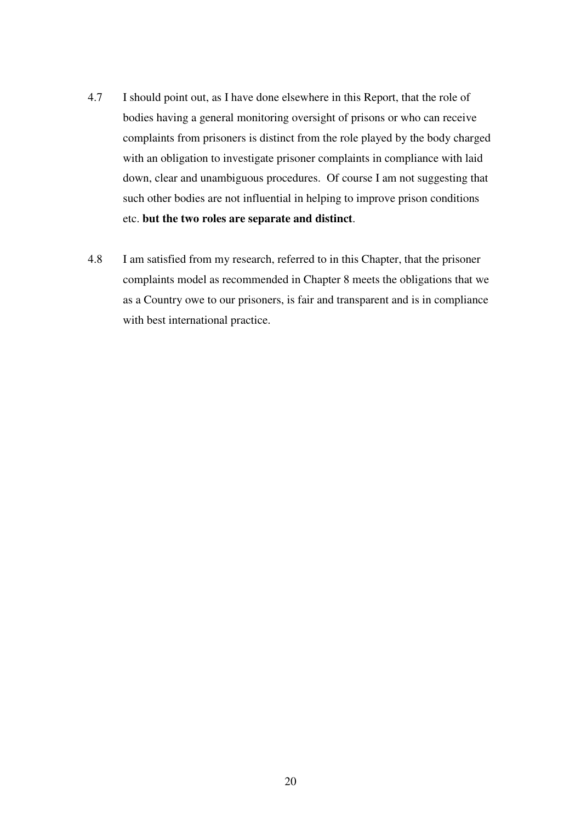- 4.7 I should point out, as I have done elsewhere in this Report, that the role of bodies having a general monitoring oversight of prisons or who can receive complaints from prisoners is distinct from the role played by the body charged with an obligation to investigate prisoner complaints in compliance with laid down, clear and unambiguous procedures. Of course I am not suggesting that such other bodies are not influential in helping to improve prison conditions etc. **but the two roles are separate and distinct**.
- 4.8 I am satisfied from my research, referred to in this Chapter, that the prisoner complaints model as recommended in Chapter 8 meets the obligations that we as a Country owe to our prisoners, is fair and transparent and is in compliance with best international practice.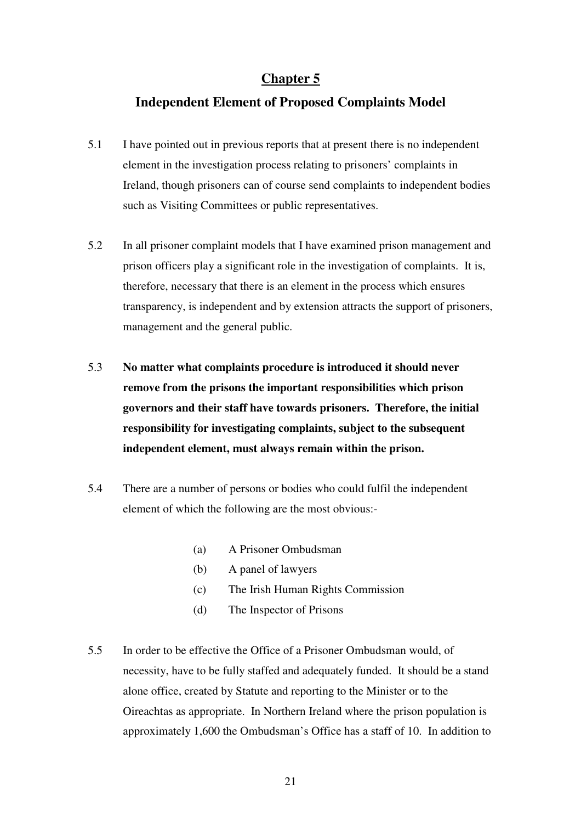# **Independent Element of Proposed Complaints Model**

- 5.1 I have pointed out in previous reports that at present there is no independent element in the investigation process relating to prisoners' complaints in Ireland, though prisoners can of course send complaints to independent bodies such as Visiting Committees or public representatives.
- 5.2 In all prisoner complaint models that I have examined prison management and prison officers play a significant role in the investigation of complaints. It is, therefore, necessary that there is an element in the process which ensures transparency, is independent and by extension attracts the support of prisoners, management and the general public.
- 5.3 **No matter what complaints procedure is introduced it should never remove from the prisons the important responsibilities which prison governors and their staff have towards prisoners. Therefore, the initial responsibility for investigating complaints, subject to the subsequent independent element, must always remain within the prison.**
- 5.4 There are a number of persons or bodies who could fulfil the independent element of which the following are the most obvious:-
	- (a) A Prisoner Ombudsman
	- (b) A panel of lawyers
	- (c) The Irish Human Rights Commission
	- (d) The Inspector of Prisons
- 5.5 In order to be effective the Office of a Prisoner Ombudsman would, of necessity, have to be fully staffed and adequately funded. It should be a stand alone office, created by Statute and reporting to the Minister or to the Oireachtas as appropriate. In Northern Ireland where the prison population is approximately 1,600 the Ombudsman's Office has a staff of 10. In addition to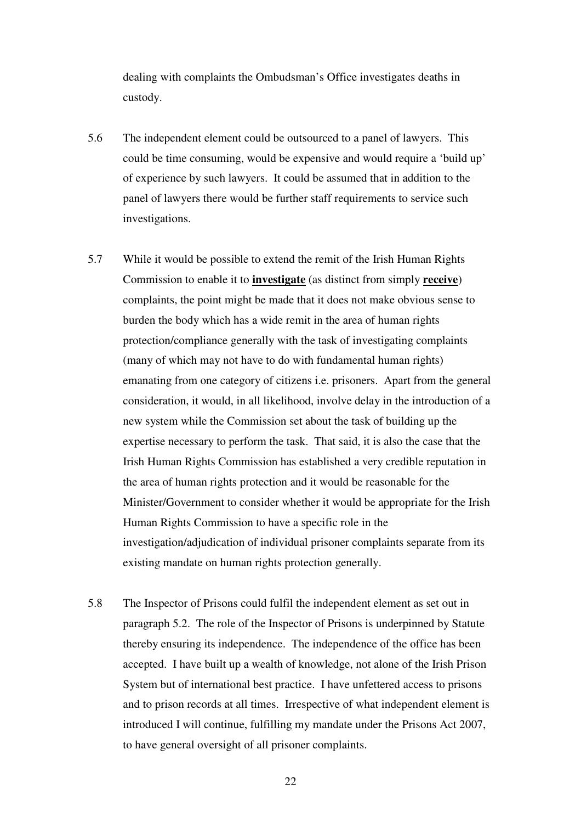dealing with complaints the Ombudsman's Office investigates deaths in custody.

- 5.6 The independent element could be outsourced to a panel of lawyers. This could be time consuming, would be expensive and would require a 'build up' of experience by such lawyers. It could be assumed that in addition to the panel of lawyers there would be further staff requirements to service such investigations.
- 5.7 While it would be possible to extend the remit of the Irish Human Rights Commission to enable it to **investigate** (as distinct from simply **receive**) complaints, the point might be made that it does not make obvious sense to burden the body which has a wide remit in the area of human rights protection/compliance generally with the task of investigating complaints (many of which may not have to do with fundamental human rights) emanating from one category of citizens i.e. prisoners. Apart from the general consideration, it would, in all likelihood, involve delay in the introduction of a new system while the Commission set about the task of building up the expertise necessary to perform the task. That said, it is also the case that the Irish Human Rights Commission has established a very credible reputation in the area of human rights protection and it would be reasonable for the Minister/Government to consider whether it would be appropriate for the Irish Human Rights Commission to have a specific role in the investigation/adjudication of individual prisoner complaints separate from its existing mandate on human rights protection generally.
- 5.8 The Inspector of Prisons could fulfil the independent element as set out in paragraph 5.2. The role of the Inspector of Prisons is underpinned by Statute thereby ensuring its independence. The independence of the office has been accepted. I have built up a wealth of knowledge, not alone of the Irish Prison System but of international best practice. I have unfettered access to prisons and to prison records at all times. Irrespective of what independent element is introduced I will continue, fulfilling my mandate under the Prisons Act 2007, to have general oversight of all prisoner complaints.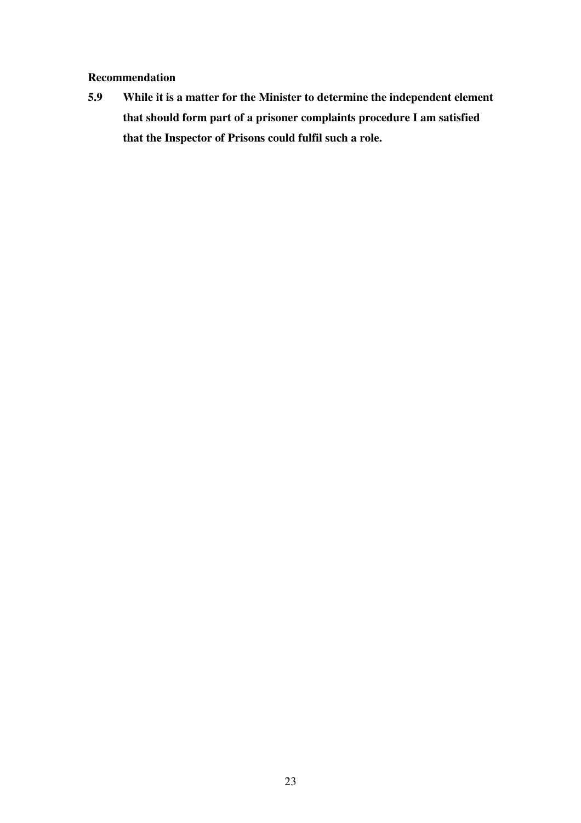#### **Recommendation**

**5.9 While it is a matter for the Minister to determine the independent element that should form part of a prisoner complaints procedure I am satisfied that the Inspector of Prisons could fulfil such a role.**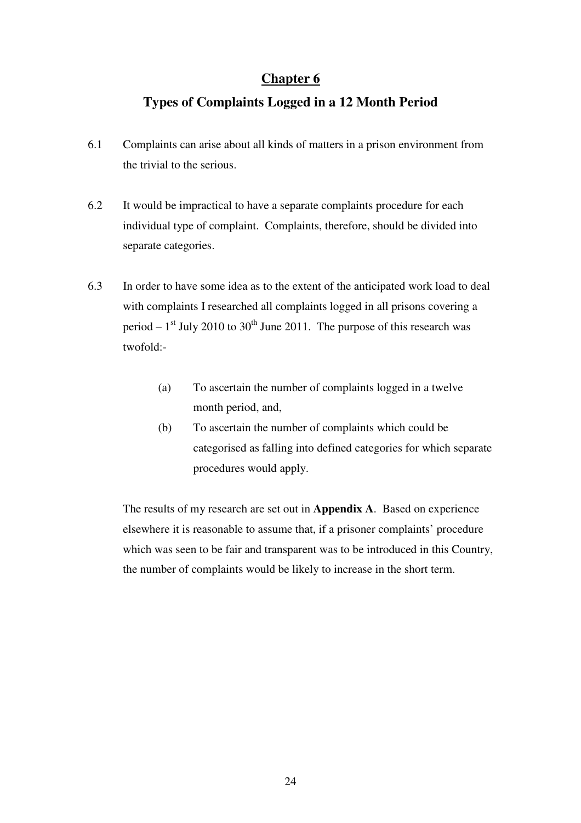# **Types of Complaints Logged in a 12 Month Period**

- 6.1 Complaints can arise about all kinds of matters in a prison environment from the trivial to the serious.
- 6.2 It would be impractical to have a separate complaints procedure for each individual type of complaint. Complaints, therefore, should be divided into separate categories.
- 6.3 In order to have some idea as to the extent of the anticipated work load to deal with complaints I researched all complaints logged in all prisons covering a period  $-1$ <sup>st</sup> July 2010 to 30<sup>th</sup> June 2011. The purpose of this research was twofold:-
	- (a) To ascertain the number of complaints logged in a twelve month period, and,
	- (b) To ascertain the number of complaints which could be categorised as falling into defined categories for which separate procedures would apply.

The results of my research are set out in **Appendix A**. Based on experience elsewhere it is reasonable to assume that, if a prisoner complaints' procedure which was seen to be fair and transparent was to be introduced in this Country, the number of complaints would be likely to increase in the short term.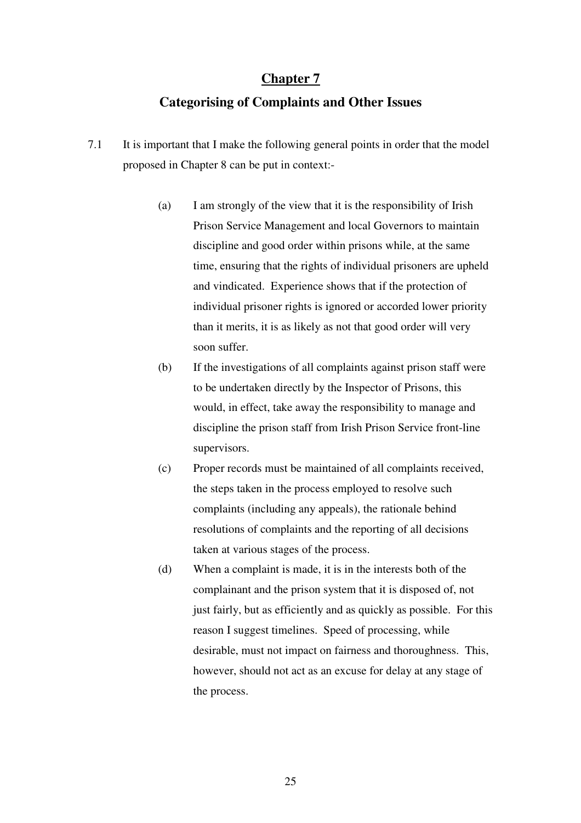# **Categorising of Complaints and Other Issues**

- 7.1 It is important that I make the following general points in order that the model proposed in Chapter 8 can be put in context:-
	- (a) I am strongly of the view that it is the responsibility of Irish Prison Service Management and local Governors to maintain discipline and good order within prisons while, at the same time, ensuring that the rights of individual prisoners are upheld and vindicated. Experience shows that if the protection of individual prisoner rights is ignored or accorded lower priority than it merits, it is as likely as not that good order will very soon suffer.
	- (b) If the investigations of all complaints against prison staff were to be undertaken directly by the Inspector of Prisons, this would, in effect, take away the responsibility to manage and discipline the prison staff from Irish Prison Service front-line supervisors.
	- (c) Proper records must be maintained of all complaints received, the steps taken in the process employed to resolve such complaints (including any appeals), the rationale behind resolutions of complaints and the reporting of all decisions taken at various stages of the process.
	- (d) When a complaint is made, it is in the interests both of the complainant and the prison system that it is disposed of, not just fairly, but as efficiently and as quickly as possible. For this reason I suggest timelines. Speed of processing, while desirable, must not impact on fairness and thoroughness. This, however, should not act as an excuse for delay at any stage of the process.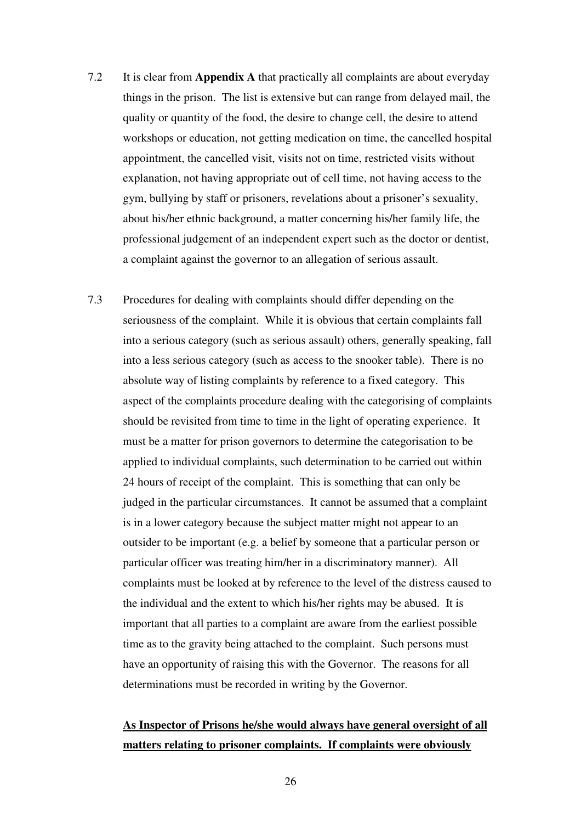- 7.2 It is clear from **Appendix A** that practically all complaints are about everyday things in the prison. The list is extensive but can range from delayed mail, the quality or quantity of the food, the desire to change cell, the desire to attend workshops or education, not getting medication on time, the cancelled hospital appointment, the cancelled visit, visits not on time, restricted visits without explanation, not having appropriate out of cell time, not having access to the gym, bullying by staff or prisoners, revelations about a prisoner's sexuality, about his/her ethnic background, a matter concerning his/her family life, the professional judgement of an independent expert such as the doctor or dentist, a complaint against the governor to an allegation of serious assault.
- 7.3 Procedures for dealing with complaints should differ depending on the seriousness of the complaint. While it is obvious that certain complaints fall into a serious category (such as serious assault) others, generally speaking, fall into a less serious category (such as access to the snooker table). There is no absolute way of listing complaints by reference to a fixed category. This aspect of the complaints procedure dealing with the categorising of complaints should be revisited from time to time in the light of operating experience. It must be a matter for prison governors to determine the categorisation to be applied to individual complaints, such determination to be carried out within 24 hours of receipt of the complaint. This is something that can only be judged in the particular circumstances. It cannot be assumed that a complaint is in a lower category because the subject matter might not appear to an outsider to be important (e.g. a belief by someone that a particular person or particular officer was treating him/her in a discriminatory manner). All complaints must be looked at by reference to the level of the distress caused to the individual and the extent to which his/her rights may be abused. It is important that all parties to a complaint are aware from the earliest possible time as to the gravity being attached to the complaint. Such persons must have an opportunity of raising this with the Governor. The reasons for all determinations must be recorded in writing by the Governor.

# **As Inspector of Prisons he/she would always have general oversight of all matters relating to prisoner complaints. If complaints were obviously**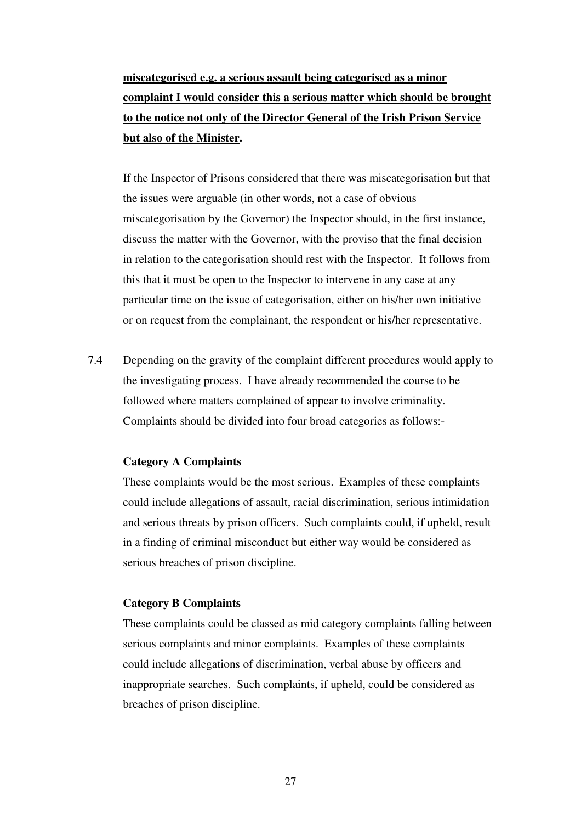# **miscategorised e.g. a serious assault being categorised as a minor complaint I would consider this a serious matter which should be brought to the notice not only of the Director General of the Irish Prison Service but also of the Minister.**

If the Inspector of Prisons considered that there was miscategorisation but that the issues were arguable (in other words, not a case of obvious miscategorisation by the Governor) the Inspector should, in the first instance, discuss the matter with the Governor, with the proviso that the final decision in relation to the categorisation should rest with the Inspector. It follows from this that it must be open to the Inspector to intervene in any case at any particular time on the issue of categorisation, either on his/her own initiative or on request from the complainant, the respondent or his/her representative.

7.4 Depending on the gravity of the complaint different procedures would apply to the investigating process. I have already recommended the course to be followed where matters complained of appear to involve criminality. Complaints should be divided into four broad categories as follows:-

#### **Category A Complaints**

These complaints would be the most serious. Examples of these complaints could include allegations of assault, racial discrimination, serious intimidation and serious threats by prison officers. Such complaints could, if upheld, result in a finding of criminal misconduct but either way would be considered as serious breaches of prison discipline.

#### **Category B Complaints**

These complaints could be classed as mid category complaints falling between serious complaints and minor complaints. Examples of these complaints could include allegations of discrimination, verbal abuse by officers and inappropriate searches. Such complaints, if upheld, could be considered as breaches of prison discipline.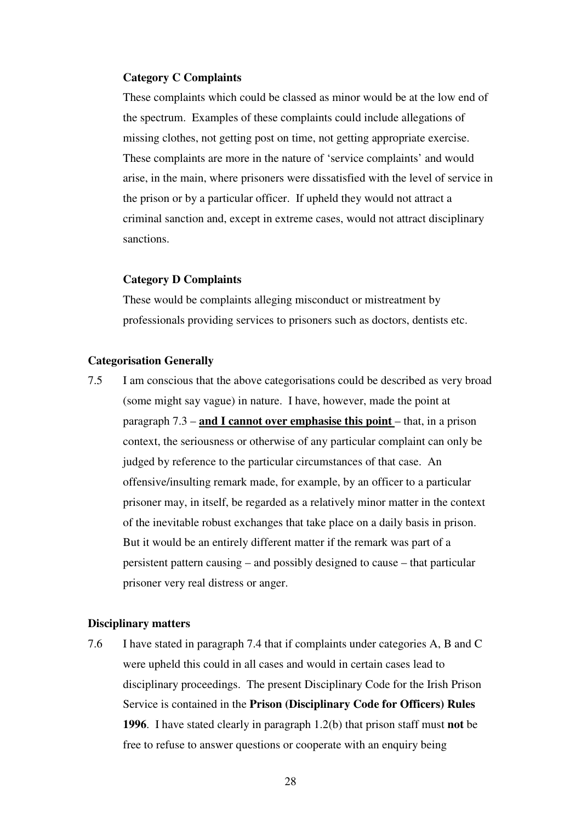#### **Category C Complaints**

These complaints which could be classed as minor would be at the low end of the spectrum. Examples of these complaints could include allegations of missing clothes, not getting post on time, not getting appropriate exercise. These complaints are more in the nature of 'service complaints' and would arise, in the main, where prisoners were dissatisfied with the level of service in the prison or by a particular officer. If upheld they would not attract a criminal sanction and, except in extreme cases, would not attract disciplinary sanctions.

#### **Category D Complaints**

These would be complaints alleging misconduct or mistreatment by professionals providing services to prisoners such as doctors, dentists etc.

#### **Categorisation Generally**

7.5 I am conscious that the above categorisations could be described as very broad (some might say vague) in nature. I have, however, made the point at paragraph 7.3 – **and I cannot over emphasise this point** – that, in a prison context, the seriousness or otherwise of any particular complaint can only be judged by reference to the particular circumstances of that case. An offensive/insulting remark made, for example, by an officer to a particular prisoner may, in itself, be regarded as a relatively minor matter in the context of the inevitable robust exchanges that take place on a daily basis in prison. But it would be an entirely different matter if the remark was part of a persistent pattern causing – and possibly designed to cause – that particular prisoner very real distress or anger.

#### **Disciplinary matters**

7.6 I have stated in paragraph 7.4 that if complaints under categories A, B and C were upheld this could in all cases and would in certain cases lead to disciplinary proceedings. The present Disciplinary Code for the Irish Prison Service is contained in the **Prison (Disciplinary Code for Officers) Rules 1996**. I have stated clearly in paragraph 1.2(b) that prison staff must **not** be free to refuse to answer questions or cooperate with an enquiry being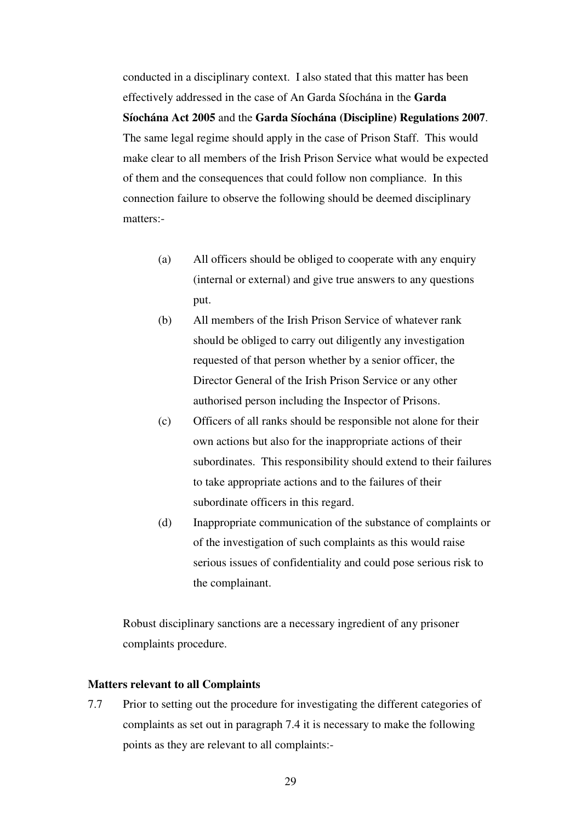conducted in a disciplinary context. I also stated that this matter has been effectively addressed in the case of An Garda Síochána in the **Garda Síochána Act 2005** and the **Garda Síochána (Discipline) Regulations 2007**. The same legal regime should apply in the case of Prison Staff. This would make clear to all members of the Irish Prison Service what would be expected of them and the consequences that could follow non compliance. In this connection failure to observe the following should be deemed disciplinary matters:-

- (a) All officers should be obliged to cooperate with any enquiry (internal or external) and give true answers to any questions put.
- (b) All members of the Irish Prison Service of whatever rank should be obliged to carry out diligently any investigation requested of that person whether by a senior officer, the Director General of the Irish Prison Service or any other authorised person including the Inspector of Prisons.
- (c) Officers of all ranks should be responsible not alone for their own actions but also for the inappropriate actions of their subordinates. This responsibility should extend to their failures to take appropriate actions and to the failures of their subordinate officers in this regard.
- (d) Inappropriate communication of the substance of complaints or of the investigation of such complaints as this would raise serious issues of confidentiality and could pose serious risk to the complainant.

Robust disciplinary sanctions are a necessary ingredient of any prisoner complaints procedure.

#### **Matters relevant to all Complaints**

7.7 Prior to setting out the procedure for investigating the different categories of complaints as set out in paragraph 7.4 it is necessary to make the following points as they are relevant to all complaints:-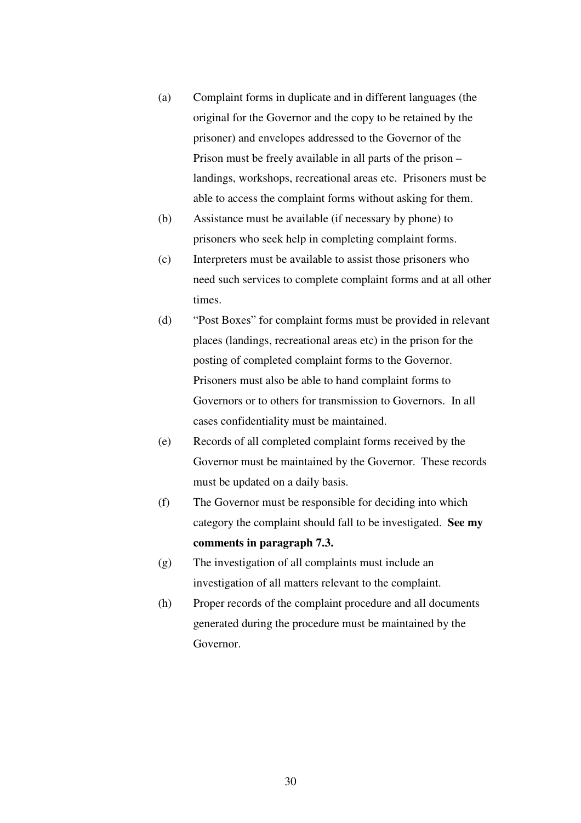- (a) Complaint forms in duplicate and in different languages (the original for the Governor and the copy to be retained by the prisoner) and envelopes addressed to the Governor of the Prison must be freely available in all parts of the prison – landings, workshops, recreational areas etc. Prisoners must be able to access the complaint forms without asking for them.
- (b) Assistance must be available (if necessary by phone) to prisoners who seek help in completing complaint forms.
- (c) Interpreters must be available to assist those prisoners who need such services to complete complaint forms and at all other times.
- (d) "Post Boxes" for complaint forms must be provided in relevant places (landings, recreational areas etc) in the prison for the posting of completed complaint forms to the Governor. Prisoners must also be able to hand complaint forms to Governors or to others for transmission to Governors. In all cases confidentiality must be maintained.
- (e) Records of all completed complaint forms received by the Governor must be maintained by the Governor. These records must be updated on a daily basis.
- (f) The Governor must be responsible for deciding into which category the complaint should fall to be investigated. **See my comments in paragraph 7.3.**
- (g) The investigation of all complaints must include an investigation of all matters relevant to the complaint.
- (h) Proper records of the complaint procedure and all documents generated during the procedure must be maintained by the Governor.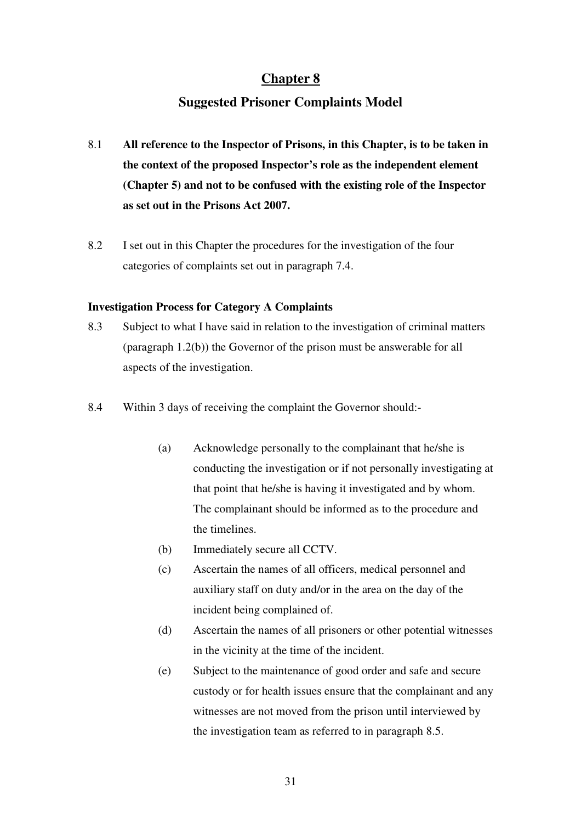# **Suggested Prisoner Complaints Model**

- 8.1 **All reference to the Inspector of Prisons, in this Chapter, is to be taken in the context of the proposed Inspector's role as the independent element (Chapter 5) and not to be confused with the existing role of the Inspector as set out in the Prisons Act 2007.**
- 8.2 I set out in this Chapter the procedures for the investigation of the four categories of complaints set out in paragraph 7.4.

#### **Investigation Process for Category A Complaints**

- 8.3 Subject to what I have said in relation to the investigation of criminal matters (paragraph 1.2(b)) the Governor of the prison must be answerable for all aspects of the investigation.
- 8.4 Within 3 days of receiving the complaint the Governor should:-
	- (a) Acknowledge personally to the complainant that he/she is conducting the investigation or if not personally investigating at that point that he/she is having it investigated and by whom. The complainant should be informed as to the procedure and the timelines.
	- (b) Immediately secure all CCTV.
	- (c) Ascertain the names of all officers, medical personnel and auxiliary staff on duty and/or in the area on the day of the incident being complained of.
	- (d) Ascertain the names of all prisoners or other potential witnesses in the vicinity at the time of the incident.
	- (e) Subject to the maintenance of good order and safe and secure custody or for health issues ensure that the complainant and any witnesses are not moved from the prison until interviewed by the investigation team as referred to in paragraph 8.5.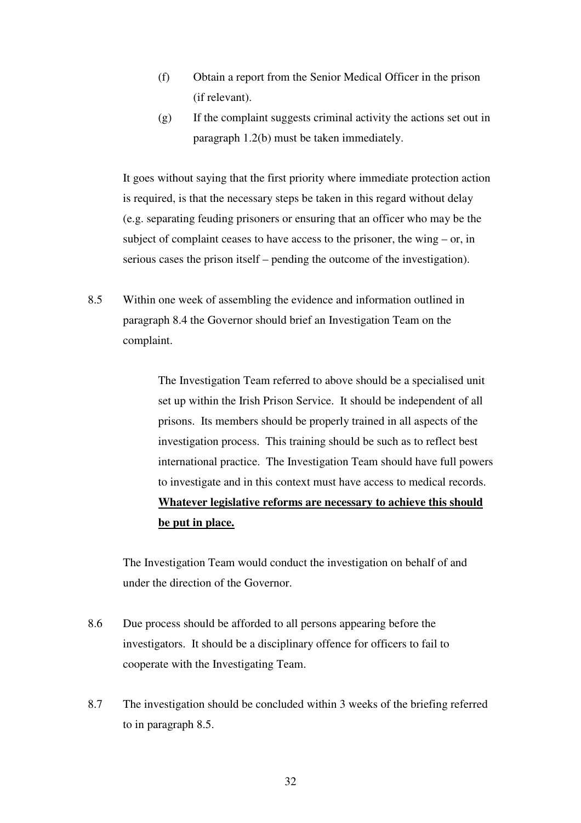- (f) Obtain a report from the Senior Medical Officer in the prison (if relevant).
- (g) If the complaint suggests criminal activity the actions set out in paragraph 1.2(b) must be taken immediately.

It goes without saying that the first priority where immediate protection action is required, is that the necessary steps be taken in this regard without delay (e.g. separating feuding prisoners or ensuring that an officer who may be the subject of complaint ceases to have access to the prisoner, the wing – or, in serious cases the prison itself – pending the outcome of the investigation).

8.5 Within one week of assembling the evidence and information outlined in paragraph 8.4 the Governor should brief an Investigation Team on the complaint.

> The Investigation Team referred to above should be a specialised unit set up within the Irish Prison Service. It should be independent of all prisons. Its members should be properly trained in all aspects of the investigation process. This training should be such as to reflect best international practice. The Investigation Team should have full powers to investigate and in this context must have access to medical records. **Whatever legislative reforms are necessary to achieve this should be put in place.**

The Investigation Team would conduct the investigation on behalf of and under the direction of the Governor.

- 8.6 Due process should be afforded to all persons appearing before the investigators. It should be a disciplinary offence for officers to fail to cooperate with the Investigating Team.
- 8.7 The investigation should be concluded within 3 weeks of the briefing referred to in paragraph 8.5.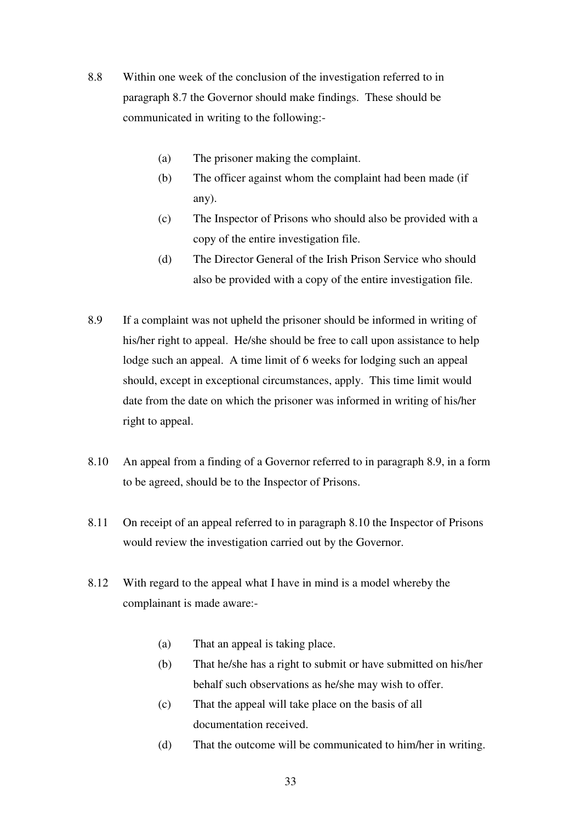- 8.8 Within one week of the conclusion of the investigation referred to in paragraph 8.7 the Governor should make findings. These should be communicated in writing to the following:-
	- (a) The prisoner making the complaint.
	- (b) The officer against whom the complaint had been made (if any).
	- (c) The Inspector of Prisons who should also be provided with a copy of the entire investigation file.
	- (d) The Director General of the Irish Prison Service who should also be provided with a copy of the entire investigation file.
- 8.9 If a complaint was not upheld the prisoner should be informed in writing of his/her right to appeal. He/she should be free to call upon assistance to help lodge such an appeal. A time limit of 6 weeks for lodging such an appeal should, except in exceptional circumstances, apply. This time limit would date from the date on which the prisoner was informed in writing of his/her right to appeal.
- 8.10 An appeal from a finding of a Governor referred to in paragraph 8.9, in a form to be agreed, should be to the Inspector of Prisons.
- 8.11 On receipt of an appeal referred to in paragraph 8.10 the Inspector of Prisons would review the investigation carried out by the Governor.
- 8.12 With regard to the appeal what I have in mind is a model whereby the complainant is made aware:-
	- (a) That an appeal is taking place.
	- (b) That he/she has a right to submit or have submitted on his/her behalf such observations as he/she may wish to offer.
	- (c) That the appeal will take place on the basis of all documentation received.
	- (d) That the outcome will be communicated to him/her in writing.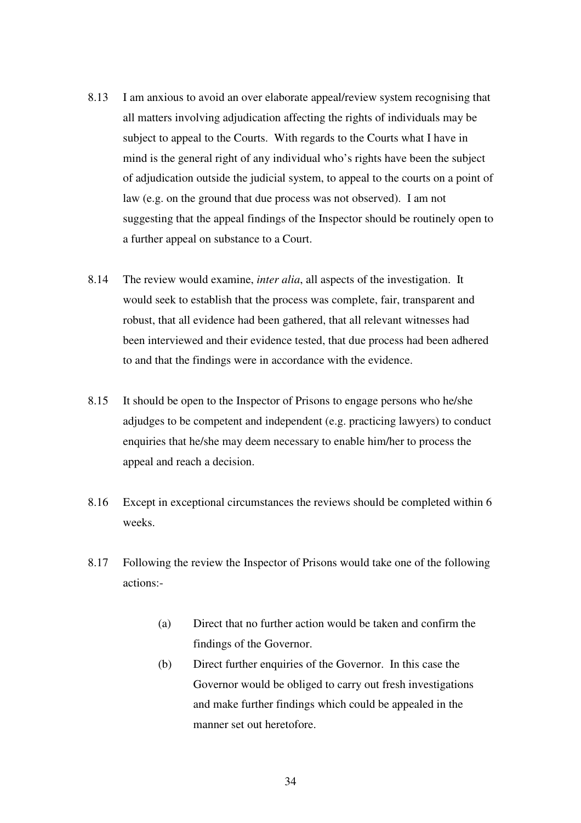- 8.13 I am anxious to avoid an over elaborate appeal/review system recognising that all matters involving adjudication affecting the rights of individuals may be subject to appeal to the Courts. With regards to the Courts what I have in mind is the general right of any individual who's rights have been the subject of adjudication outside the judicial system, to appeal to the courts on a point of law (e.g. on the ground that due process was not observed). I am not suggesting that the appeal findings of the Inspector should be routinely open to a further appeal on substance to a Court.
- 8.14 The review would examine, *inter alia*, all aspects of the investigation. It would seek to establish that the process was complete, fair, transparent and robust, that all evidence had been gathered, that all relevant witnesses had been interviewed and their evidence tested, that due process had been adhered to and that the findings were in accordance with the evidence.
- 8.15 It should be open to the Inspector of Prisons to engage persons who he/she adjudges to be competent and independent (e.g. practicing lawyers) to conduct enquiries that he/she may deem necessary to enable him/her to process the appeal and reach a decision.
- 8.16 Except in exceptional circumstances the reviews should be completed within 6 weeks.
- 8.17 Following the review the Inspector of Prisons would take one of the following actions:-
	- (a) Direct that no further action would be taken and confirm the findings of the Governor.
	- (b) Direct further enquiries of the Governor. In this case the Governor would be obliged to carry out fresh investigations and make further findings which could be appealed in the manner set out heretofore.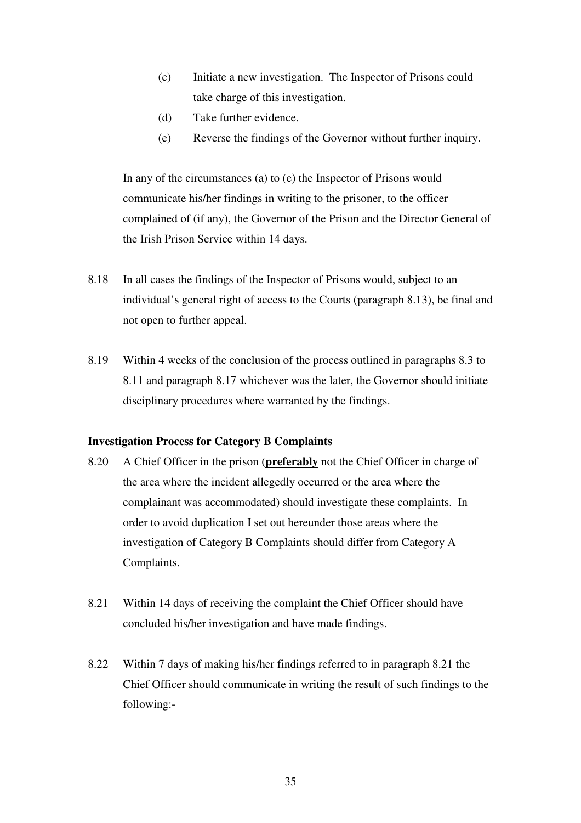- (c) Initiate a new investigation. The Inspector of Prisons could take charge of this investigation.
- (d) Take further evidence.
- (e) Reverse the findings of the Governor without further inquiry.

In any of the circumstances (a) to (e) the Inspector of Prisons would communicate his/her findings in writing to the prisoner, to the officer complained of (if any), the Governor of the Prison and the Director General of the Irish Prison Service within 14 days.

- 8.18 In all cases the findings of the Inspector of Prisons would, subject to an individual's general right of access to the Courts (paragraph 8.13), be final and not open to further appeal.
- 8.19 Within 4 weeks of the conclusion of the process outlined in paragraphs 8.3 to 8.11 and paragraph 8.17 whichever was the later, the Governor should initiate disciplinary procedures where warranted by the findings.

#### **Investigation Process for Category B Complaints**

- 8.20 A Chief Officer in the prison (**preferably** not the Chief Officer in charge of the area where the incident allegedly occurred or the area where the complainant was accommodated) should investigate these complaints. In order to avoid duplication I set out hereunder those areas where the investigation of Category B Complaints should differ from Category A Complaints.
- 8.21 Within 14 days of receiving the complaint the Chief Officer should have concluded his/her investigation and have made findings.
- 8.22 Within 7 days of making his/her findings referred to in paragraph 8.21 the Chief Officer should communicate in writing the result of such findings to the following:-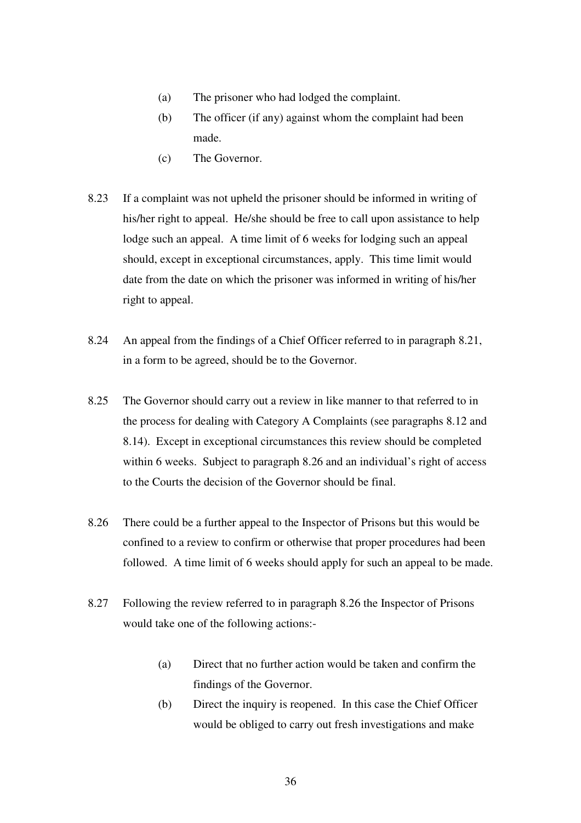- (a) The prisoner who had lodged the complaint.
- (b) The officer (if any) against whom the complaint had been made.
- (c) The Governor.
- 8.23 If a complaint was not upheld the prisoner should be informed in writing of his/her right to appeal. He/she should be free to call upon assistance to help lodge such an appeal. A time limit of 6 weeks for lodging such an appeal should, except in exceptional circumstances, apply. This time limit would date from the date on which the prisoner was informed in writing of his/her right to appeal.
- 8.24 An appeal from the findings of a Chief Officer referred to in paragraph 8.21, in a form to be agreed, should be to the Governor.
- 8.25 The Governor should carry out a review in like manner to that referred to in the process for dealing with Category A Complaints (see paragraphs 8.12 and 8.14). Except in exceptional circumstances this review should be completed within 6 weeks. Subject to paragraph 8.26 and an individual's right of access to the Courts the decision of the Governor should be final.
- 8.26 There could be a further appeal to the Inspector of Prisons but this would be confined to a review to confirm or otherwise that proper procedures had been followed. A time limit of 6 weeks should apply for such an appeal to be made.
- 8.27 Following the review referred to in paragraph 8.26 the Inspector of Prisons would take one of the following actions:-
	- (a) Direct that no further action would be taken and confirm the findings of the Governor.
	- (b) Direct the inquiry is reopened. In this case the Chief Officer would be obliged to carry out fresh investigations and make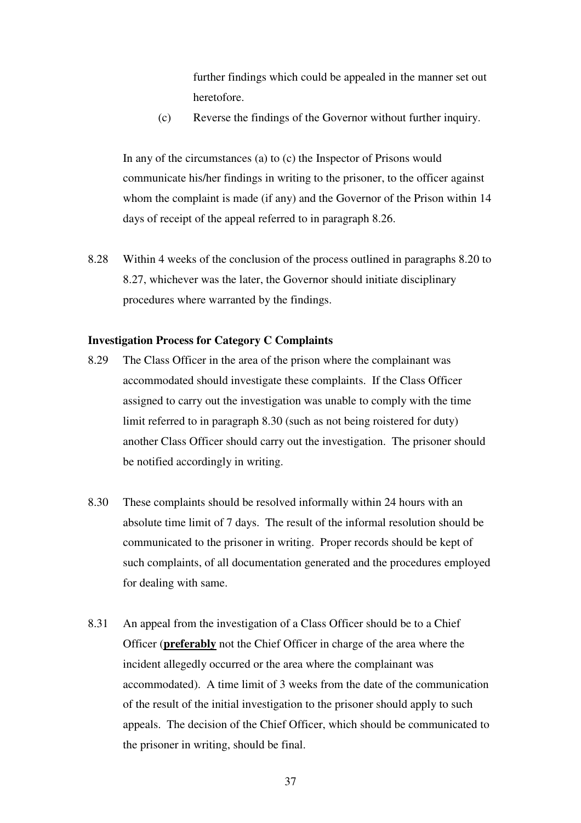further findings which could be appealed in the manner set out heretofore.

(c) Reverse the findings of the Governor without further inquiry.

In any of the circumstances (a) to (c) the Inspector of Prisons would communicate his/her findings in writing to the prisoner, to the officer against whom the complaint is made (if any) and the Governor of the Prison within 14 days of receipt of the appeal referred to in paragraph 8.26.

8.28 Within 4 weeks of the conclusion of the process outlined in paragraphs 8.20 to 8.27, whichever was the later, the Governor should initiate disciplinary procedures where warranted by the findings.

#### **Investigation Process for Category C Complaints**

- 8.29 The Class Officer in the area of the prison where the complainant was accommodated should investigate these complaints. If the Class Officer assigned to carry out the investigation was unable to comply with the time limit referred to in paragraph 8.30 (such as not being roistered for duty) another Class Officer should carry out the investigation. The prisoner should be notified accordingly in writing.
- 8.30 These complaints should be resolved informally within 24 hours with an absolute time limit of 7 days. The result of the informal resolution should be communicated to the prisoner in writing. Proper records should be kept of such complaints, of all documentation generated and the procedures employed for dealing with same.
- 8.31 An appeal from the investigation of a Class Officer should be to a Chief Officer (**preferably** not the Chief Officer in charge of the area where the incident allegedly occurred or the area where the complainant was accommodated). A time limit of 3 weeks from the date of the communication of the result of the initial investigation to the prisoner should apply to such appeals. The decision of the Chief Officer, which should be communicated to the prisoner in writing, should be final.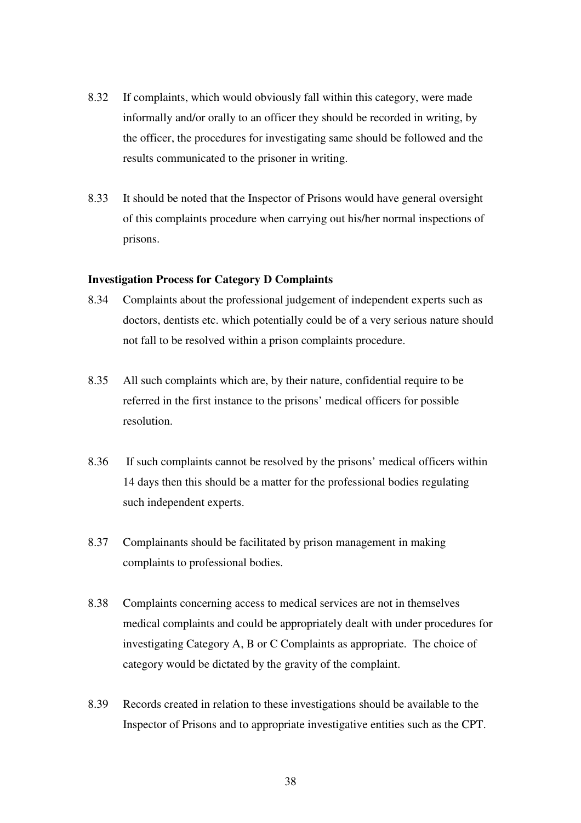- 8.32 If complaints, which would obviously fall within this category, were made informally and/or orally to an officer they should be recorded in writing, by the officer, the procedures for investigating same should be followed and the results communicated to the prisoner in writing.
- 8.33 It should be noted that the Inspector of Prisons would have general oversight of this complaints procedure when carrying out his/her normal inspections of prisons.

#### **Investigation Process for Category D Complaints**

- 8.34 Complaints about the professional judgement of independent experts such as doctors, dentists etc. which potentially could be of a very serious nature should not fall to be resolved within a prison complaints procedure.
- 8.35 All such complaints which are, by their nature, confidential require to be referred in the first instance to the prisons' medical officers for possible resolution.
- 8.36 If such complaints cannot be resolved by the prisons' medical officers within 14 days then this should be a matter for the professional bodies regulating such independent experts.
- 8.37 Complainants should be facilitated by prison management in making complaints to professional bodies.
- 8.38 Complaints concerning access to medical services are not in themselves medical complaints and could be appropriately dealt with under procedures for investigating Category A, B or C Complaints as appropriate. The choice of category would be dictated by the gravity of the complaint.
- 8.39 Records created in relation to these investigations should be available to the Inspector of Prisons and to appropriate investigative entities such as the CPT.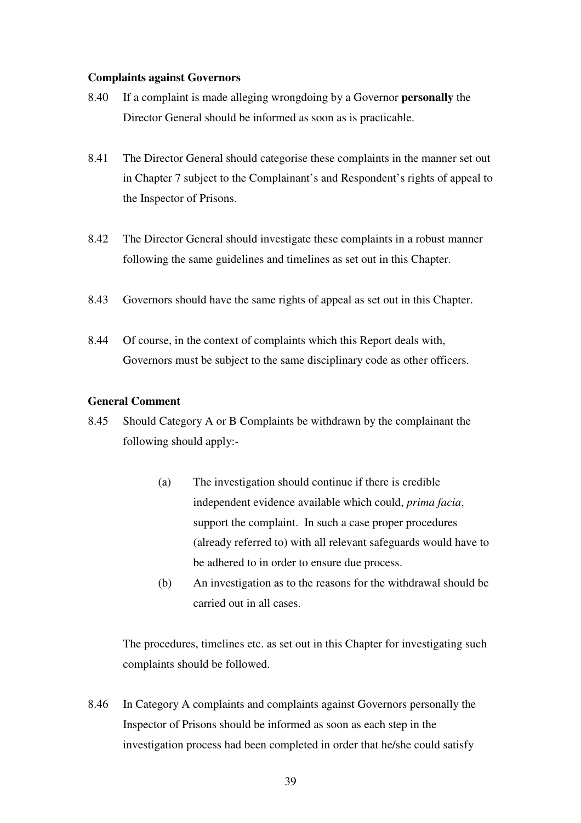#### **Complaints against Governors**

- 8.40 If a complaint is made alleging wrongdoing by a Governor **personally** the Director General should be informed as soon as is practicable.
- 8.41 The Director General should categorise these complaints in the manner set out in Chapter 7 subject to the Complainant's and Respondent's rights of appeal to the Inspector of Prisons.
- 8.42 The Director General should investigate these complaints in a robust manner following the same guidelines and timelines as set out in this Chapter.
- 8.43 Governors should have the same rights of appeal as set out in this Chapter.
- 8.44 Of course, in the context of complaints which this Report deals with, Governors must be subject to the same disciplinary code as other officers.

#### **General Comment**

- 8.45 Should Category A or B Complaints be withdrawn by the complainant the following should apply:-
	- (a) The investigation should continue if there is credible independent evidence available which could, *prima facia*, support the complaint. In such a case proper procedures (already referred to) with all relevant safeguards would have to be adhered to in order to ensure due process.
	- (b) An investigation as to the reasons for the withdrawal should be carried out in all cases.

The procedures, timelines etc. as set out in this Chapter for investigating such complaints should be followed.

8.46 In Category A complaints and complaints against Governors personally the Inspector of Prisons should be informed as soon as each step in the investigation process had been completed in order that he/she could satisfy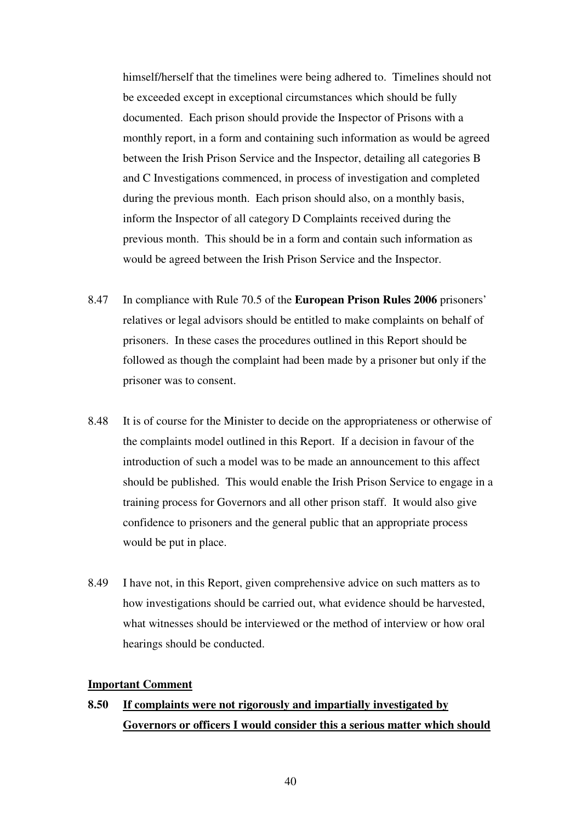himself/herself that the timelines were being adhered to. Timelines should not be exceeded except in exceptional circumstances which should be fully documented. Each prison should provide the Inspector of Prisons with a monthly report, in a form and containing such information as would be agreed between the Irish Prison Service and the Inspector, detailing all categories B and C Investigations commenced, in process of investigation and completed during the previous month. Each prison should also, on a monthly basis, inform the Inspector of all category D Complaints received during the previous month. This should be in a form and contain such information as would be agreed between the Irish Prison Service and the Inspector.

- 8.47 In compliance with Rule 70.5 of the **European Prison Rules 2006** prisoners' relatives or legal advisors should be entitled to make complaints on behalf of prisoners. In these cases the procedures outlined in this Report should be followed as though the complaint had been made by a prisoner but only if the prisoner was to consent.
- 8.48 It is of course for the Minister to decide on the appropriateness or otherwise of the complaints model outlined in this Report. If a decision in favour of the introduction of such a model was to be made an announcement to this affect should be published. This would enable the Irish Prison Service to engage in a training process for Governors and all other prison staff. It would also give confidence to prisoners and the general public that an appropriate process would be put in place.
- 8.49 I have not, in this Report, given comprehensive advice on such matters as to how investigations should be carried out, what evidence should be harvested, what witnesses should be interviewed or the method of interview or how oral hearings should be conducted.

#### **Important Comment**

# **8.50 If complaints were not rigorously and impartially investigated by Governors or officers I would consider this a serious matter which should**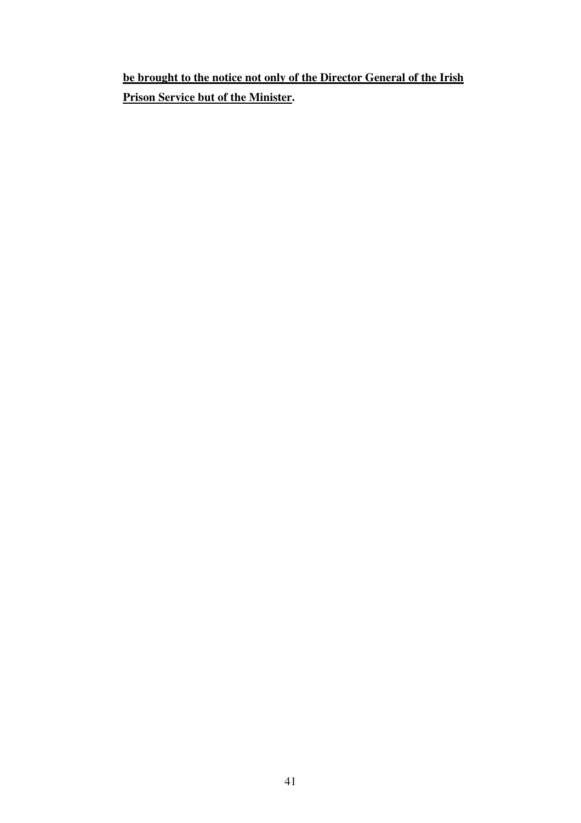**be brought to the notice not only of the Director General of the Irish Prison Service but of the Minister.**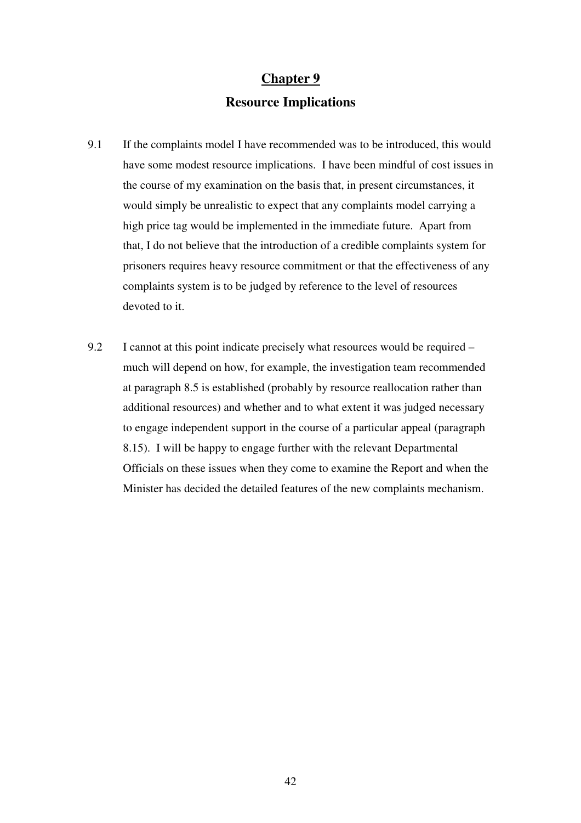## **Resource Implications**

- 9.1 If the complaints model I have recommended was to be introduced, this would have some modest resource implications. I have been mindful of cost issues in the course of my examination on the basis that, in present circumstances, it would simply be unrealistic to expect that any complaints model carrying a high price tag would be implemented in the immediate future. Apart from that, I do not believe that the introduction of a credible complaints system for prisoners requires heavy resource commitment or that the effectiveness of any complaints system is to be judged by reference to the level of resources devoted to it.
- 9.2 I cannot at this point indicate precisely what resources would be required much will depend on how, for example, the investigation team recommended at paragraph 8.5 is established (probably by resource reallocation rather than additional resources) and whether and to what extent it was judged necessary to engage independent support in the course of a particular appeal (paragraph 8.15). I will be happy to engage further with the relevant Departmental Officials on these issues when they come to examine the Report and when the Minister has decided the detailed features of the new complaints mechanism.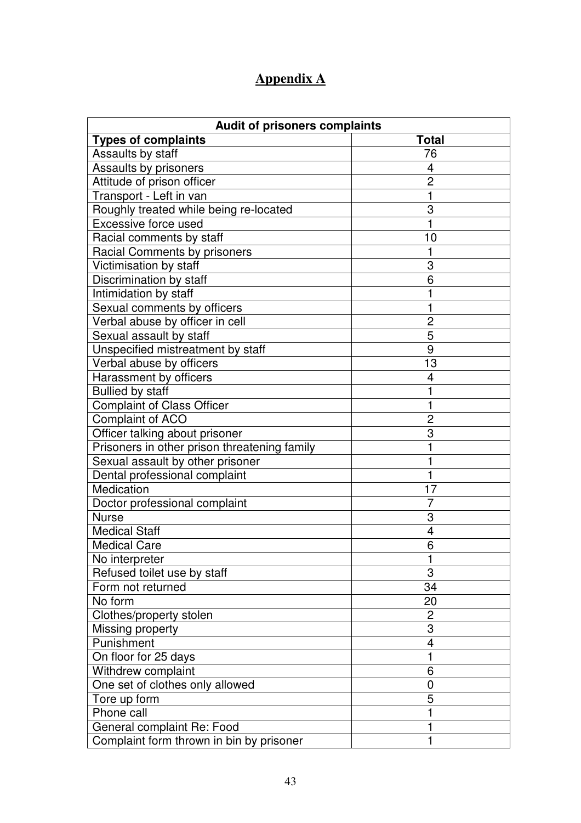# **Appendix A**

| <b>Audit of prisoners complaints</b>         |                |  |
|----------------------------------------------|----------------|--|
| <b>Types of complaints</b>                   | <b>Total</b>   |  |
| Assaults by staff                            | 76             |  |
| Assaults by prisoners                        | 4              |  |
| Attitude of prison officer                   | $\overline{2}$ |  |
| Transport - Left in van                      | 1              |  |
| Roughly treated while being re-located       | 3              |  |
| Excessive force used                         | 1              |  |
| Racial comments by staff                     | 10             |  |
| Racial Comments by prisoners                 | 1              |  |
| Victimisation by staff                       | 3              |  |
| Discrimination by staff                      | 6              |  |
| Intimidation by staff                        | 1              |  |
| Sexual comments by officers                  | 1              |  |
| Verbal abuse by officer in cell              | 2              |  |
| Sexual assault by staff                      | 5              |  |
| Unspecified mistreatment by staff            | 9              |  |
| Verbal abuse by officers                     | 13             |  |
| Harassment by officers                       | 4              |  |
| <b>Bullied by staff</b>                      | 1              |  |
| <b>Complaint of Class Officer</b>            | 1              |  |
| Complaint of ACO                             | $\overline{2}$ |  |
| Officer talking about prisoner               | 3              |  |
| Prisoners in other prison threatening family | $\mathbf{1}$   |  |
| Sexual assault by other prisoner             | 1              |  |
| Dental professional complaint                | 1              |  |
| Medication                                   | 17             |  |
| Doctor professional complaint                | 7              |  |
| <b>Nurse</b>                                 | 3              |  |
| <b>Medical Staff</b>                         | 4              |  |
| <b>Medical Care</b>                          | 6              |  |
| No interpreter                               | 1              |  |
| Refused toilet use by staff                  | 3              |  |
| Form not returned                            | 34             |  |
| No form                                      | 20             |  |
| Clothes/property stolen                      | 2              |  |
| Missing property                             | 3              |  |
| Punishment                                   | $\overline{4}$ |  |
| On floor for 25 days                         | 1              |  |
| Withdrew complaint                           | 6              |  |
| One set of clothes only allowed              | $\mathbf 0$    |  |
| Tore up form                                 | 5              |  |
| Phone call                                   | 1              |  |
| General complaint Re: Food                   | 1              |  |
| Complaint form thrown in bin by prisoner     | 1              |  |